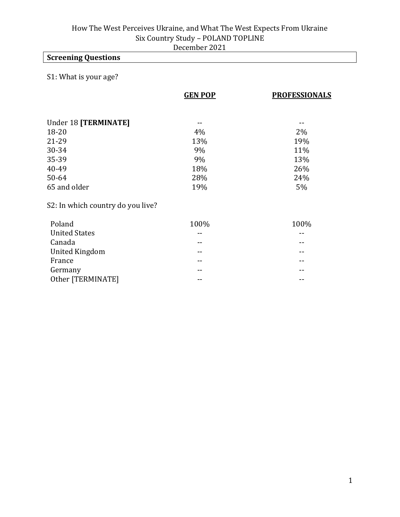## **Screening Questions**

### S1: What is your age?

|                                   | <b>GEN POP</b> | <b>PROFESSIONALS</b> |
|-----------------------------------|----------------|----------------------|
|                                   |                |                      |
| Under 18 [TERMINATE]              |                |                      |
| $18 - 20$                         | 4%             | 2%                   |
| 21-29                             | 13%            | 19%                  |
| 30-34                             | 9%             | 11%                  |
| 35-39                             | 9%             | 13%                  |
| 40-49                             | 18%            | 26%                  |
| 50-64                             | 28%            | 24%                  |
| 65 and older                      | 19%            | 5%                   |
| S2: In which country do you live? |                |                      |
| Poland                            | 100%           | 100%                 |
| <b>United States</b>              | --             |                      |
| Canada                            |                |                      |
| <b>United Kingdom</b>             |                |                      |

France **France France France France France France France France France France France France France FRANCE** Germany **--**  $-$  --Other [TERMINATE] -- --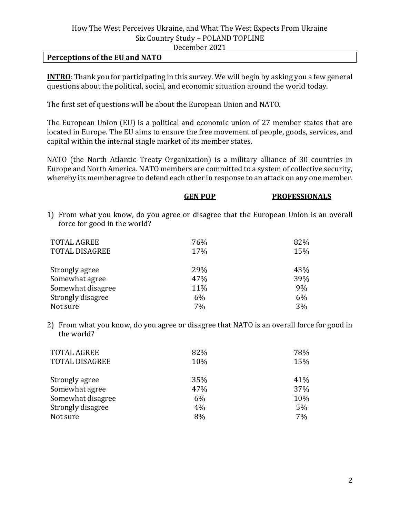#### **Perceptions of the EU and NATO**

**INTRO**: Thank you for participating in this survey. We will begin by asking you a few general questions about the political, social, and economic situation around the world today.

The first set of questions will be about the European Union and NATO.

The European Union (EU) is a political and economic union of 27 member states that are located in Europe. The EU aims to ensure the free movement of people, goods, services, and capital within the internal single market of its member states.

NATO (the North Atlantic Treaty Organization) is a military alliance of 30 countries in Europe and North America. NATO members are committed to a system of collective security, whereby its member agree to defend each other in response to an attack on any one member.

|                                                                                                                       | GEN POP | <b>PROFESSIONALS</b> |
|-----------------------------------------------------------------------------------------------------------------------|---------|----------------------|
| 1) From what you know, do you agree or disagree that the European Union is an overall<br>force for good in the world? |         |                      |
| <b>TOTAL AGREE</b>                                                                                                    | 76%     | 82%                  |
| <b>TOTAL DISAGREE</b>                                                                                                 | 17%     | 15%                  |
| Strongly agree                                                                                                        | 29%     | 43%                  |
| Somewhat agree                                                                                                        | 47%     | 39%                  |
| Somewhat disagree                                                                                                     | 11%     | 9%                   |
| Strongly disagree                                                                                                     | 6%      | 6%                   |
| Not sure                                                                                                              | 7%      | 3%                   |

2) From what you know, do you agree or disagree that NATO is an overall force for good in the world?

| <b>TOTAL AGREE</b>    | 82% | 78% |
|-----------------------|-----|-----|
| <b>TOTAL DISAGREE</b> | 10% | 15% |
| Strongly agree        | 35% | 41% |
| Somewhat agree        | 47% | 37% |
| Somewhat disagree     | 6%  | 10% |
| Strongly disagree     | 4%  | 5%  |
| Not sure              | 8%  | 7%  |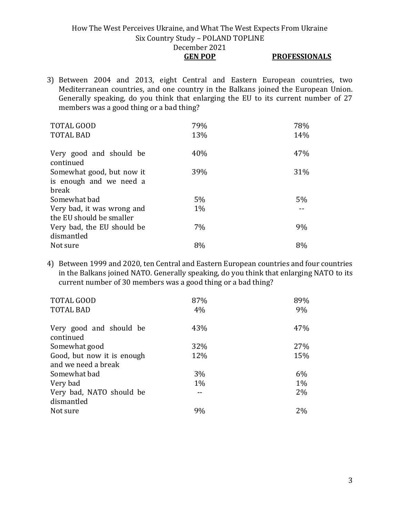- **GEN POP PROFESSIONALS**
- 3) Between 2004 and 2013, eight Central and Eastern European countries, two Mediterranean countries, and one country in the Balkans joined the European Union. Generally speaking, do you think that enlarging the EU to its current number of 27 members was a good thing or a bad thing?

| <b>TOTAL GOOD</b>                    | 79%   | 78%   |
|--------------------------------------|-------|-------|
| <b>TOTAL BAD</b>                     | 13%   | 14%   |
| Very good and should be<br>continued | 40%   | 47%   |
| Somewhat good, but now it            | 39%   | 31%   |
| is enough and we need a              |       |       |
| break                                |       |       |
| Somewhat bad                         | $5\%$ | $5\%$ |
| Very bad, it was wrong and           | $1\%$ |       |
| the EU should be smaller             |       |       |
| Very bad, the EU should be           | 7%    | 9%    |
| dismantled                           |       |       |
| Not sure                             | 8%    | 8%    |

4) Between 1999 and 2020, ten Central and Eastern European countries and four countries in the Balkans joined NATO. Generally speaking, do you think that enlarging NATO to its current number of 30 members was a good thing or a bad thing?

| TOTAL GOOD<br><b>TOTAL BAD</b>         | 87%<br>4% | 89%<br>9% |
|----------------------------------------|-----------|-----------|
| Very good and should be<br>continued   | 43%       | 47%       |
| Somewhat good                          | 32%       | 27%       |
| Good, but now it is enough             | 12%       | 15%       |
| and we need a break                    |           |           |
| Somewhat bad                           | 3%        | 6%        |
| Very bad                               | $1\%$     | $1\%$     |
| Very bad, NATO should be<br>dismantled |           | 2%        |
| Not sure                               | 9%        | 2%        |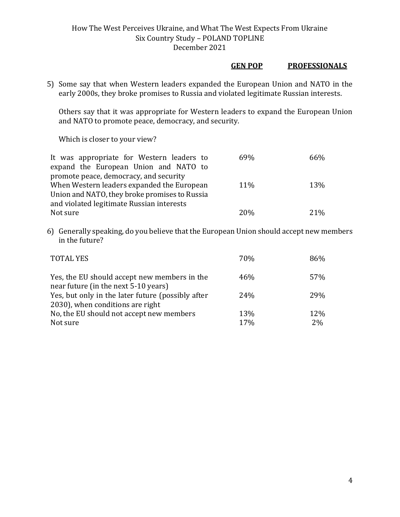#### **GEN POP PROFESSIONALS**

5) Some say that when Western leaders expanded the European Union and NATO in the early 2000s, they broke promises to Russia and violated legitimate Russian interests.

Others say that it was appropriate for Western leaders to expand the European Union and NATO to promote peace, democracy, and security.

Which is closer to your view?

| It was appropriate for Western leaders to     | 69% | 66%    |
|-----------------------------------------------|-----|--------|
| expand the European Union and NATO to         |     |        |
| promote peace, democracy, and security        |     |        |
| When Western leaders expanded the European    | 11% | 13%    |
| Union and NATO, they broke promises to Russia |     |        |
| and violated legitimate Russian interests     |     |        |
| Not sure                                      | 20% | $21\%$ |
|                                               |     |        |

6) Generally speaking, do you believe that the European Union should accept new members in the future?

| <b>TOTAL YES</b>                                                                      | 70%             | 86%       |
|---------------------------------------------------------------------------------------|-----------------|-----------|
| Yes, the EU should accept new members in the<br>near future (in the next 5-10 years)  | 46%             | 57%       |
| Yes, but only in the later future (possibly after<br>2030), when conditions are right | 24 <sub>%</sub> | 29%       |
| No, the EU should not accept new members<br>Not sure                                  | 13%<br>17%      | 12%<br>2% |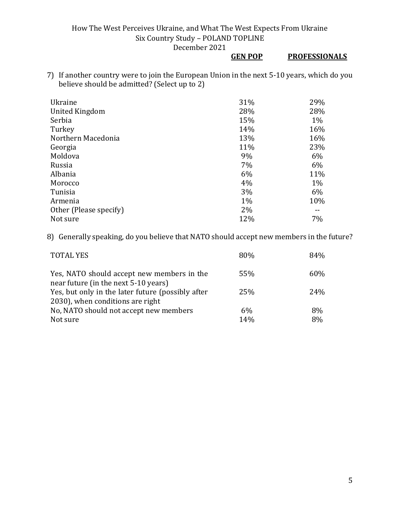### **GEN POP PROFESSIONALS**

7) If another country were to join the European Union in the next 5-10 years, which do you believe should be admitted? (Select up to 2)

| Ukraine                | 31%   | 29%   |
|------------------------|-------|-------|
| <b>United Kingdom</b>  | 28%   | 28%   |
| Serbia                 | 15%   | 1%    |
| Turkey                 | 14%   | 16%   |
| Northern Macedonia     | 13%   | 16%   |
| Georgia                | 11%   | 23%   |
| Moldova                | 9%    | 6%    |
| Russia                 | 7%    | 6%    |
| Albania                | 6%    | 11%   |
| Morocco                | 4%    | $1\%$ |
| Tunisia                | 3%    | 6%    |
| Armenia                | $1\%$ | 10%   |
| Other (Please specify) | $2\%$ |       |
| Not sure               | 12%   | 7%    |

8) Generally speaking, do you believe that NATO should accept new members in the future?

| <b>TOTAL YES</b>                                                                   | 80% | 84% |
|------------------------------------------------------------------------------------|-----|-----|
| Yes, NATO should accept new members in the<br>near future (in the next 5-10 years) | 55% | 60% |
| Yes, but only in the later future (possibly after                                  | 25% | 24% |
| 2030), when conditions are right                                                   |     |     |
| No, NATO should not accept new members                                             | 6%  | 8%  |
| Not sure                                                                           | 14% | 8%  |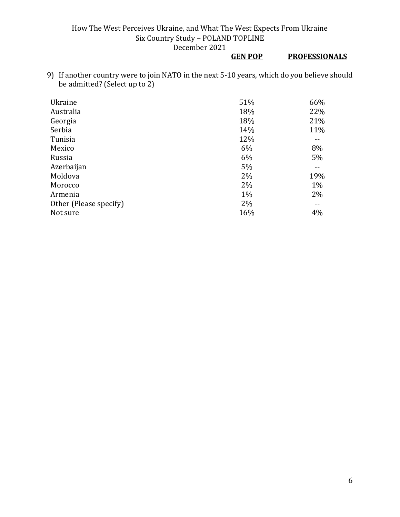# **GEN POP PROFESSIONALS**

9) If another country were to join NATO in the next 5-10 years, which do you believe should be admitted? (Select up to 2)

| Ukraine                | 51%   | 66%   |
|------------------------|-------|-------|
| Australia              | 18%   | 22%   |
| Georgia                | 18%   | 21%   |
| Serbia                 | 14%   | 11%   |
| Tunisia                | 12%   |       |
| Mexico                 | 6%    | 8%    |
| Russia                 | 6%    | 5%    |
| Azerbaijan             | 5%    |       |
| Moldova                | 2%    | 19%   |
| Morocco                | 2%    | $1\%$ |
| Armenia                | $1\%$ | 2%    |
| Other (Please specify) | 2%    |       |
| Not sure               | 16%   | 4%    |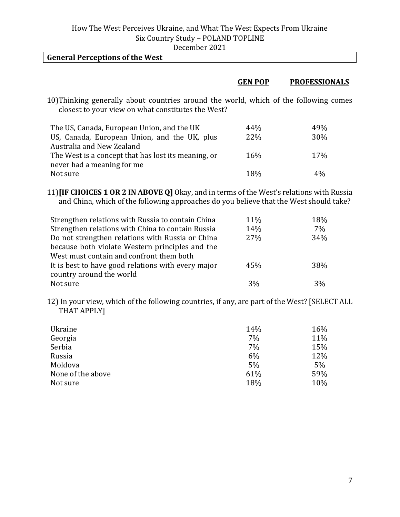| December 2021 |  |
|---------------|--|
|---------------|--|

| <b>General Perceptions of the West</b>                                                                      |                |                      |
|-------------------------------------------------------------------------------------------------------------|----------------|----------------------|
|                                                                                                             |                |                      |
|                                                                                                             | <b>GEN POP</b> | <b>PROFESSIONALS</b> |
| بمحبوبة ومشرحا المكرور والركوب وامتعارب الرابعيين ومالح استبعدت ومستحدث وسيرام وبالمستحدث ومشابثات الانافار |                |                      |

10)Thinking generally about countries around the world, which of the following comes closest to your view on what constitutes the West?

| The US, Canada, European Union, and the UK          | 44%        | 49%        |
|-----------------------------------------------------|------------|------------|
| US, Canada, European Union, and the UK, plus        | 22%        | <b>30%</b> |
| Australia and New Zealand                           |            |            |
| The West is a concept that has lost its meaning, or | <b>16%</b> | 17%        |
| never had a meaning for me                          |            |            |
| Not sure                                            | 18%        | $4\%$      |

11)**[IF CHOICES 1 OR 2 IN ABOVE Q]** Okay, and in terms of the West's relations with Russia and China, which of the following approaches do you believe that the West should take?

| Strengthen relations with Russia to contain China  | 11% | 18% |
|----------------------------------------------------|-----|-----|
| Strengthen relations with China to contain Russia  | 14% | 7%  |
| Do not strengthen relations with Russia or China   | 27% | 34% |
| because both violate Western principles and the    |     |     |
| West must contain and confront them both           |     |     |
| It is best to have good relations with every major | 45% | 38% |
| country around the world                           |     |     |
| Not sure                                           | 3%  | 3%  |

12) In your view, which of the following countries, if any, are part of the West? [SELECT ALL THAT APPLY]

| Ukraine           | 14% | 16% |
|-------------------|-----|-----|
| Georgia           | 7%  | 11% |
| Serbia            | 7%  | 15% |
| Russia            | 6%  | 12% |
| Moldova           | 5%  | 5%  |
| None of the above | 61% | 59% |
| Not sure          | 18% | 10% |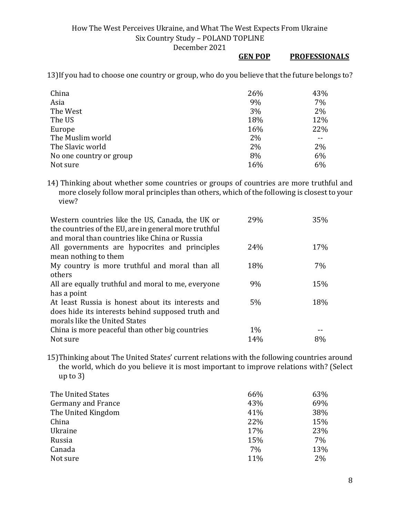### **GEN POP PROFESSIONALS**

13)If you had to choose one country or group, who do you believe that the future belongs to?

| China                   | 26% | 43% |
|-------------------------|-----|-----|
| Asia                    | 9%  | 7%  |
| The West                | 3%  | 2%  |
| The US                  | 18% | 12% |
| Europe                  | 16% | 22% |
| The Muslim world        | 2%  |     |
| The Slavic world        | 2%  | 2%  |
| No one country or group | 8%  | 6%  |
| Not sure                | 16% | 6%  |

14) Thinking about whether some countries or groups of countries are more truthful and more closely follow moral principles than others, which of the following is closest to your view?

| Western countries like the US, Canada, the UK or      | 29%   | 35% |
|-------------------------------------------------------|-------|-----|
| the countries of the EU, are in general more truthful |       |     |
| and moral than countries like China or Russia         |       |     |
| All governments are hypocrites and principles         | 24%   | 17% |
| mean nothing to them                                  |       |     |
| My country is more truthful and moral than all        | 18%   | 7%  |
| others                                                |       |     |
| All are equally truthful and moral to me, everyone    | 9%    | 15% |
| has a point                                           |       |     |
| At least Russia is honest about its interests and     | 5%    | 18% |
| does hide its interests behind supposed truth and     |       |     |
| morals like the United States                         |       |     |
| China is more peaceful than other big countries       | $1\%$ |     |
| Not sure                                              | 14%   | 8%  |

15)Thinking about The United States' current relations with the following countries around the world, which do you believe it is most important to improve relations with? (Select up to 3)

| The United States         | 66% | 63% |
|---------------------------|-----|-----|
| <b>Germany and France</b> | 43% | 69% |
| The United Kingdom        | 41% | 38% |
| China                     | 22% | 15% |
| Ukraine                   | 17% | 23% |
| Russia                    | 15% | 7%  |
| Canada                    | 7%  | 13% |
| Not sure                  | 11% | 2%  |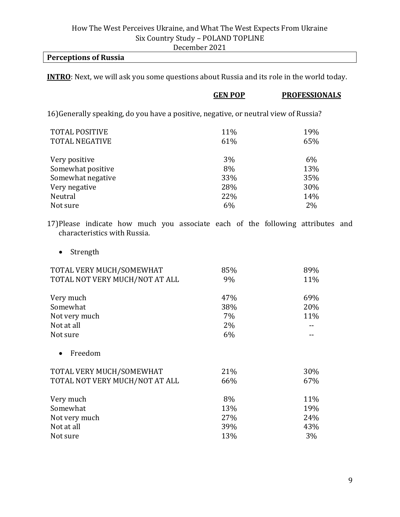### December 2021

### **Perceptions of Russia**

**INTRO**: Next, we will ask you some questions about Russia and its role in the world today.

|                                                                                      | <b>GEN POP</b> | <b>PROFESSIONALS</b> |
|--------------------------------------------------------------------------------------|----------------|----------------------|
| 16) Generally speaking, do you have a positive, negative, or neutral view of Russia? |                |                      |
| <b>TOTAL POSITIVE</b>                                                                | 11%            | 19%                  |
| <b>TOTAL NEGATIVE</b>                                                                | 61%            | 65%                  |
| Very positive                                                                        | 3%             | 6%                   |
| Somewhat positive                                                                    | 8%             | 13%                  |
| Somewhat negative                                                                    | 33%            | 35%                  |
| Very negative                                                                        | 28%            | 30%                  |
| Neutral                                                                              | 22%            | 14%                  |
| Not sure                                                                             | 6%             | $2\%$                |
|                                                                                      |                |                      |

17)Please indicate how much you associate each of the following attributes and characteristics with Russia.

• Strength

| TOTAL VERY MUCH/SOMEWHAT       | 85% | 89% |
|--------------------------------|-----|-----|
| TOTAL NOT VERY MUCH/NOT AT ALL | 9%  | 11% |
| Very much                      | 47% | 69% |
| Somewhat                       | 38% | 20% |
| Not very much                  | 7%  | 11% |
| Not at all                     | 2%  |     |
| Not sure                       | 6%  |     |
| Freedom                        |     |     |
| TOTAL VERY MUCH/SOMEWHAT       | 21% | 30% |
| TOTAL NOT VERY MUCH/NOT AT ALL | 66% | 67% |
| Very much                      | 8%  | 11% |
| Somewhat                       | 13% | 19% |
| Not very much                  | 27% | 24% |
| Not at all                     | 39% | 43% |
| Not sure                       | 13% | 3%  |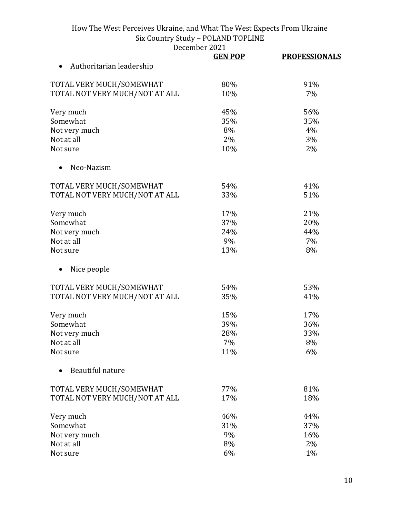December 2021<br> **GEN POP** 

|                                | <b>GEN POP</b> | <b>PROFESSIONALS</b> |
|--------------------------------|----------------|----------------------|
| Authoritarian leadership       |                |                      |
| TOTAL VERY MUCH/SOMEWHAT       | 80%            | 91%                  |
| TOTAL NOT VERY MUCH/NOT AT ALL | 10%            | 7%                   |
| Very much                      | 45%            | 56%                  |
| Somewhat                       | 35%            | 35%                  |
| Not very much                  | 8%             | 4%                   |
| Not at all                     | 2%             | 3%                   |
| Not sure                       | 10%            | 2%                   |
| Neo-Nazism                     |                |                      |
| TOTAL VERY MUCH/SOMEWHAT       | 54%            | 41%                  |
| TOTAL NOT VERY MUCH/NOT AT ALL | 33%            | 51%                  |
| Very much                      | 17%            | 21%                  |
| Somewhat                       | 37%            | 20%                  |
| Not very much                  | 24%            | 44%                  |
| Not at all                     | 9%             | 7%                   |
| Not sure                       | 13%            | 8%                   |
| Nice people                    |                |                      |
| TOTAL VERY MUCH/SOMEWHAT       | 54%            | 53%                  |
| TOTAL NOT VERY MUCH/NOT AT ALL | 35%            | 41%                  |
| Very much                      | 15%            | 17%                  |
| Somewhat                       | 39%            | 36%                  |
| Not very much                  | 28%            | 33%                  |
| Not at all                     | 7%             | 8%                   |
| Not sure                       | 11%            | 6%                   |
| Beautiful nature               |                |                      |
| TOTAL VERY MUCH/SOMEWHAT       | 77%            | 81%                  |
| TOTAL NOT VERY MUCH/NOT AT ALL | 17%            | 18%                  |
| Very much                      | 46%            | 44%                  |
| Somewhat                       | 31%            | 37%                  |
| Not very much                  | 9%             | 16%                  |
| Not at all                     | 8%             | 2%                   |
| Not sure                       | 6%             | 1%                   |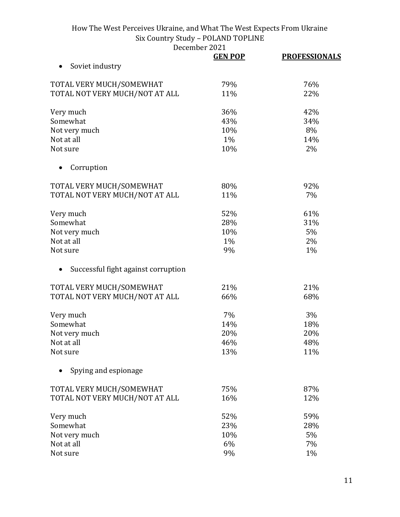|                                     | CUMUCI LULI<br><b>GEN POP</b> | <b>PROFESSIONALS</b> |
|-------------------------------------|-------------------------------|----------------------|
| Soviet industry                     |                               |                      |
| TOTAL VERY MUCH/SOMEWHAT            | 79%                           | 76%                  |
|                                     | 11%                           | 22%                  |
| TOTAL NOT VERY MUCH/NOT AT ALL      |                               |                      |
| Very much                           | 36%                           | 42%                  |
| Somewhat                            | 43%                           | 34%                  |
| Not very much                       | 10%                           | 8%                   |
| Not at all                          | 1%                            | 14%                  |
| Not sure                            | 10%                           | 2%                   |
| Corruption                          |                               |                      |
| TOTAL VERY MUCH/SOMEWHAT            | 80%                           | 92%                  |
| TOTAL NOT VERY MUCH/NOT AT ALL      | 11%                           | 7%                   |
|                                     |                               |                      |
| Very much                           | 52%                           | 61%                  |
| Somewhat                            | 28%                           | 31%                  |
| Not very much                       | 10%                           | 5%                   |
| Not at all                          | 1%                            | 2%                   |
| Not sure                            | 9%                            | 1%                   |
| Successful fight against corruption |                               |                      |
| TOTAL VERY MUCH/SOMEWHAT            | 21%                           | 21%                  |
| TOTAL NOT VERY MUCH/NOT AT ALL      | 66%                           | 68%                  |
|                                     |                               |                      |
| Very much                           | 7%                            | 3%                   |
| Somewhat                            | 14%                           | 18%                  |
| Not very much                       | 20%                           | 20%                  |
| Not at all                          | 46%                           | 48%                  |
| Not sure                            | 13%                           | 11%                  |
| Spying and espionage                |                               |                      |
| TOTAL VERY MUCH/SOMEWHAT            | 75%                           | 87%                  |
| TOTAL NOT VERY MUCH/NOT AT ALL      | 16%                           | 12%                  |
|                                     |                               |                      |
| Very much                           | 52%                           | 59%                  |
| Somewhat                            | 23%                           | 28%                  |
| Not very much                       | 10%                           | 5%                   |
| Not at all                          | 6%                            | 7%                   |
| Not sure                            | 9%                            | 1%                   |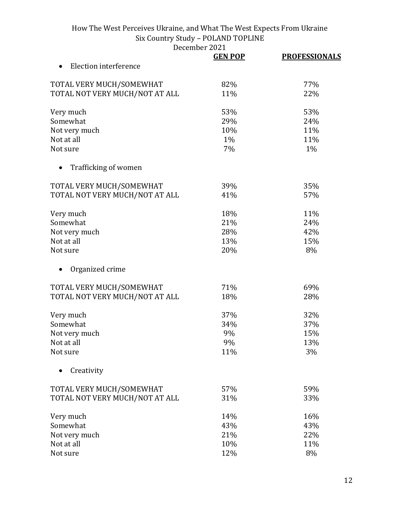|                                | <b>GEN POP</b> | <b>PROFESSIONALS</b> |
|--------------------------------|----------------|----------------------|
| Election interference          |                |                      |
| TOTAL VERY MUCH/SOMEWHAT       | 82%            | 77%                  |
| TOTAL NOT VERY MUCH/NOT AT ALL | 11%            | 22%                  |
| Very much                      | 53%            | 53%                  |
| Somewhat                       | 29%            | 24%                  |
| Not very much                  | 10%            | 11%                  |
| Not at all                     | 1%             | 11%                  |
| Not sure                       | 7%             | 1%                   |
| Trafficking of women           |                |                      |
| TOTAL VERY MUCH/SOMEWHAT       | 39%            | 35%                  |
| TOTAL NOT VERY MUCH/NOT AT ALL | 41%            | 57%                  |
| Very much                      | 18%            | 11%                  |
| Somewhat                       | 21%            | 24%                  |
| Not very much                  | 28%            | 42%                  |
| Not at all                     | 13%            | 15%                  |
| Not sure                       | 20%            | 8%                   |
| Organized crime                |                |                      |
| TOTAL VERY MUCH/SOMEWHAT       | 71%            | 69%                  |
| TOTAL NOT VERY MUCH/NOT AT ALL | 18%            | 28%                  |
| Very much                      | 37%            | 32%                  |
| Somewhat                       | 34%            | 37%                  |
| Not very much                  | 9%             | 15%                  |
| Not at all                     | 9%             | 13%                  |
| Not sure                       | 11%            | 3%                   |
| Creativity                     |                |                      |
| TOTAL VERY MUCH/SOMEWHAT       | 57%            | 59%                  |
| TOTAL NOT VERY MUCH/NOT AT ALL | 31%            | 33%                  |
| Very much                      | 14%            | 16%                  |
| Somewhat                       | 43%            | 43%                  |
| Not very much                  | 21%            | 22%                  |
| Not at all                     | 10%            | 11%                  |
| Not sure                       | 12%            | 8%                   |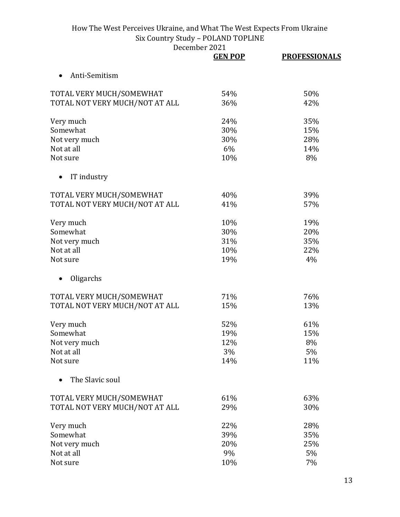|                                | <b>GEN POP</b> | <b>PROFESSIONALS</b> |
|--------------------------------|----------------|----------------------|
| Anti-Semitism                  |                |                      |
| TOTAL VERY MUCH/SOMEWHAT       | 54%            | 50%                  |
| TOTAL NOT VERY MUCH/NOT AT ALL | 36%            | 42%                  |
| Very much                      | 24%            | 35%                  |
| Somewhat                       | 30%            | 15%                  |
| Not very much                  | 30%            | 28%                  |
| Not at all                     | 6%             | 14%                  |
| Not sure                       | 10%            | 8%                   |
| IT industry                    |                |                      |
| TOTAL VERY MUCH/SOMEWHAT       | 40%            | 39%                  |
| TOTAL NOT VERY MUCH/NOT AT ALL | 41%            | 57%                  |
| Very much                      | 10%            | 19%                  |
| Somewhat                       | 30%            | 20%                  |
| Not very much                  | 31%            | 35%                  |
| Not at all                     | 10%            | 22%                  |
| Not sure                       | 19%            | 4%                   |
| Oligarchs                      |                |                      |
| TOTAL VERY MUCH/SOMEWHAT       | 71%            | 76%                  |
| TOTAL NOT VERY MUCH/NOT AT ALL | 15%            | 13%                  |
| Very much                      | 52%            | 61%                  |
| Somewhat                       | 19%            | 15%                  |
| Not very much                  | 12%            | 8%                   |
| Not at all                     | 3%             | 5%                   |
| Not sure                       | 14%            | 11%                  |
| The Slavic soul                |                |                      |
| TOTAL VERY MUCH/SOMEWHAT       | 61%            | 63%                  |
| TOTAL NOT VERY MUCH/NOT AT ALL | 29%            | 30%                  |
| Very much                      | 22%            | 28%                  |
| Somewhat                       | 39%            | 35%                  |
| Not very much                  | 20%            | 25%                  |
| Not at all                     | 9%             | 5%                   |
| Not sure                       | 10%            | 7%                   |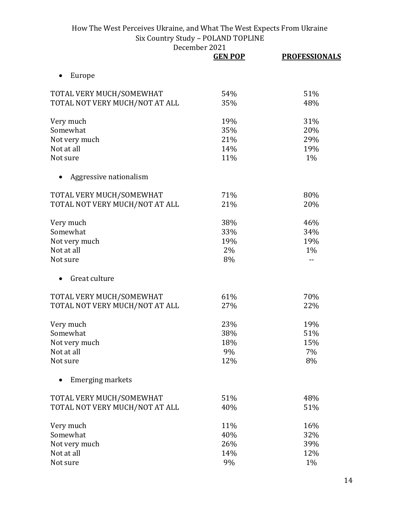|                                | <b>GEN POP</b> | <b>PROFESSIONALS</b> |
|--------------------------------|----------------|----------------------|
| Europe                         |                |                      |
| TOTAL VERY MUCH/SOMEWHAT       | 54%            | 51%                  |
| TOTAL NOT VERY MUCH/NOT AT ALL | 35%            | 48%                  |
| Very much                      | 19%            | 31%                  |
| Somewhat                       | 35%            | 20%                  |
| Not very much                  | 21%            | 29%                  |
| Not at all                     | 14%            | 19%                  |
| Not sure                       | 11%            | 1%                   |
| Aggressive nationalism         |                |                      |
| TOTAL VERY MUCH/SOMEWHAT       | 71%            | 80%                  |
| TOTAL NOT VERY MUCH/NOT AT ALL | 21%            | 20%                  |
| Very much                      | 38%            | 46%                  |
| Somewhat                       | 33%            | 34%                  |
| Not very much                  | 19%            | 19%                  |
| Not at all                     | 2%             | $1\%$                |
| Not sure                       | 8%             |                      |
| Great culture                  |                |                      |
| TOTAL VERY MUCH/SOMEWHAT       | 61%            | 70%                  |
| TOTAL NOT VERY MUCH/NOT AT ALL | 27%            | 22%                  |
| Very much                      | 23%            | 19%                  |
| Somewhat                       | 38%            | 51%                  |
| Not very much                  | 18%            | 15%                  |
| Not at all                     | 9%             | 7%                   |
| Not sure                       | 12%            | 8%                   |
| <b>Emerging markets</b>        |                |                      |
| TOTAL VERY MUCH/SOMEWHAT       | 51%            | 48%                  |
| TOTAL NOT VERY MUCH/NOT AT ALL | 40%            | 51%                  |
| Very much                      | 11%            | 16%                  |
| Somewhat                       | 40%            | 32%                  |
| Not very much                  | 26%            | 39%                  |
| Not at all                     | 14%            | 12%                  |
| Not sure                       | 9%             | 1%                   |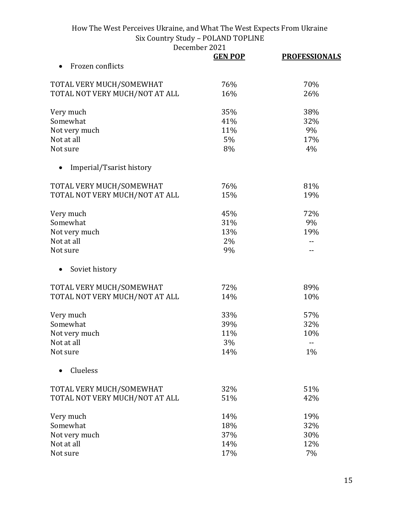|                                | UUMUUL LULI    |                      |
|--------------------------------|----------------|----------------------|
|                                | <b>GEN POP</b> | <b>PROFESSIONALS</b> |
| Frozen conflicts               |                |                      |
| TOTAL VERY MUCH/SOMEWHAT       | 76%            | 70%                  |
| TOTAL NOT VERY MUCH/NOT AT ALL | 16%            | 26%                  |
|                                |                |                      |
| Very much                      | 35%            | 38%                  |
| Somewhat                       | 41%            | 32%                  |
| Not very much                  | 11%            | 9%                   |
| Not at all                     | 5%             | 17%                  |
| Not sure                       | 8%             | 4%                   |
| Imperial/Tsarist history       |                |                      |
| TOTAL VERY MUCH/SOMEWHAT       | 76%            | 81%                  |
| TOTAL NOT VERY MUCH/NOT AT ALL | 15%            | 19%                  |
|                                |                |                      |
| Very much                      | 45%            | 72%                  |
| Somewhat                       | 31%            | 9%                   |
| Not very much                  | 13%            | 19%                  |
| Not at all                     | 2%             |                      |
| Not sure                       | 9%             |                      |
|                                |                |                      |
| Soviet history                 |                |                      |
| TOTAL VERY MUCH/SOMEWHAT       | 72%            | 89%                  |
| TOTAL NOT VERY MUCH/NOT AT ALL | 14%            | 10%                  |
|                                |                |                      |
| Very much                      | 33%            | 57%                  |
| Somewhat                       | 39%            | 32%                  |
| Not very much                  | 11%            | 10%                  |
| Not at all                     | 3%             |                      |
| Not sure                       | 14%            | $1\%$                |
| Clueless                       |                |                      |
| TOTAL VERY MUCH/SOMEWHAT       | 32%            | 51%                  |
| TOTAL NOT VERY MUCH/NOT AT ALL | 51%            | 42%                  |
|                                |                |                      |
| Very much                      | 14%            | 19%                  |
| Somewhat                       | 18%            | 32%                  |
| Not very much                  | 37%            | 30%                  |
| Not at all                     | 14%            | 12%                  |
| Not sure                       | 17%            | 7%                   |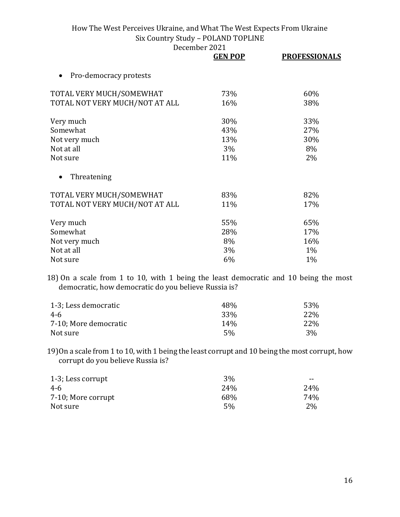December 2021

|                                     | <b>GEN POP</b> | <b>PROFESSIONALS</b> |
|-------------------------------------|----------------|----------------------|
| Pro-democracy protests<br>$\bullet$ |                |                      |
| TOTAL VERY MUCH/SOMEWHAT            | 73%            | 60%                  |
| TOTAL NOT VERY MUCH/NOT AT ALL      | 16%            | 38%                  |
| Very much                           | 30%            | 33%                  |
| Somewhat                            | 43%            | 27%                  |
| Not very much                       | 13%            | 30%                  |
| Not at all                          | 3%             | 8%                   |
| Not sure                            | 11%            | 2%                   |
| Threatening                         |                |                      |
| TOTAL VERY MUCH/SOMEWHAT            | 83%            | 82%                  |
| TOTAL NOT VERY MUCH/NOT AT ALL      | 11%            | 17%                  |
| Very much                           | 55%            | 65%                  |
| Somewhat                            | 28%            | 17%                  |
| Not very much                       | 8%             | 16%                  |
| Not at all                          | 3%             | $1\%$                |
| Not sure                            | 6%             | $1\%$                |

18) On a scale from 1 to 10, with 1 being the least democratic and 10 being the most democratic, how democratic do you believe Russia is?

| 1-3; Less democratic  | 48%             | 53%  |
|-----------------------|-----------------|------|
| 4-6                   | 33 <sup>%</sup> | 22\% |
| 7-10; More democratic | 14%             | 22\% |
| Not sure              | 5%              | 3%   |

19)On a scale from 1 to 10, with 1 being the least corrupt and 10 being the most corrupt, how corrupt do you believe Russia is?

| 1-3; Less corrupt  | 3%              | $- -$ |
|--------------------|-----------------|-------|
| 4-6                | 24 <sub>%</sub> | 24%   |
| 7-10; More corrupt | 68%             | 74%   |
| Not sure           | 5%              | 2%    |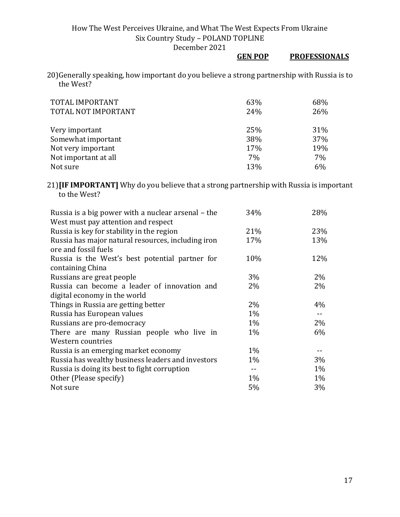# **GEN POP PROFESSIONALS**

20)Generally speaking, how important do you believe a strong partnership with Russia is to the West?

| TOTAL IMPORTANT<br>TOTAL NOT IMPORTANT | 63%<br>24% | 68%<br>26% |
|----------------------------------------|------------|------------|
| Very important                         | 25%        | 31%        |
| Somewhat important                     | 38%        | 37%        |
| Not very important                     | 17%        | 19%        |
| Not important at all                   | 7%         | 7%         |
| Not sure                               | 13%        | 6%         |

21)**[IF IMPORTANT]** Why do you believe that a strong partnership with Russia is important to the West?

| Russia is a big power with a nuclear arsenal – the | 34%   | 28%   |
|----------------------------------------------------|-------|-------|
| West must pay attention and respect                |       |       |
| Russia is key for stability in the region          | 21%   | 23%   |
| Russia has major natural resources, including iron | 17%   | 13%   |
| ore and fossil fuels                               |       |       |
| Russia is the West's best potential partner for    | 10%   | 12%   |
| containing China                                   |       |       |
| Russians are great people                          | $3\%$ | $2\%$ |
| Russia can become a leader of innovation and       | $2\%$ | $2\%$ |
| digital economy in the world                       |       |       |
| Things in Russia are getting better                | 2%    | 4%    |
| Russia has European values                         | $1\%$ | $- -$ |
| Russians are pro-democracy                         | $1\%$ | $2\%$ |
| There are many Russian people who live in          | $1\%$ | 6%    |
| Western countries                                  |       |       |
| Russia is an emerging market economy               | $1\%$ |       |
| Russia has wealthy business leaders and investors  | $1\%$ | 3%    |
| Russia is doing its best to fight corruption       | $-$   | $1\%$ |
| Other (Please specify)                             | $1\%$ | 1%    |
| Not sure                                           | 5%    | 3%    |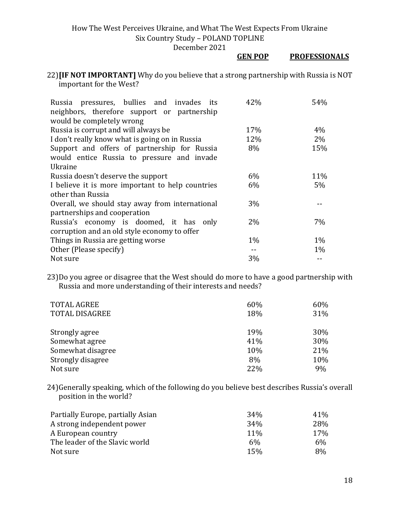December 2021

#### **GEN POP PROFESSIONALS**

22)**[IF NOT IMPORTANT]** Why do you believe that a strong partnership with Russia is NOT important for the West?

| Russia pressures, bullies and invades its<br>neighbors, therefore support or partnership | 42%   | 54%   |
|------------------------------------------------------------------------------------------|-------|-------|
| would be completely wrong                                                                |       |       |
| Russia is corrupt and will always be                                                     | 17%   | 4%    |
| I don't really know what is going on in Russia                                           | 12%   | 2%    |
| Support and offers of partnership for Russia                                             | 8%    | 15%   |
| would entice Russia to pressure and invade                                               |       |       |
| Ukraine                                                                                  |       |       |
| Russia doesn't deserve the support                                                       | 6%    | 11%   |
| I believe it is more important to help countries                                         | 6%    | $5\%$ |
| other than Russia                                                                        |       |       |
| Overall, we should stay away from international                                          | 3%    |       |
| partnerships and cooperation                                                             |       |       |
| Russia's economy is doomed, it has only                                                  | $2\%$ | 7%    |
| corruption and an old style economy to offer                                             |       |       |
| Things in Russia are getting worse                                                       | $1\%$ | $1\%$ |
| Other (Please specify)                                                                   |       | $1\%$ |
| Not sure                                                                                 | 3%    |       |

23)Do you agree or disagree that the West should do more to have a good partnership with Russia and more understanding of their interests and needs?

| <b>TOTAL AGREE</b>    | 60% | 60% |
|-----------------------|-----|-----|
| <b>TOTAL DISAGREE</b> | 18% | 31% |
|                       |     |     |
| Strongly agree        | 19% | 30% |
| Somewhat agree        | 41% | 30% |
| Somewhat disagree     | 10% | 21% |
| Strongly disagree     | 8%  | 10% |
| Not sure              | 22% | 9%  |

24)Generally speaking, which of the following do you believe best describes Russia's overall position in the world?

| Partially Europe, partially Asian | 34%        | 41 <sup>%</sup> |
|-----------------------------------|------------|-----------------|
| A strong independent power        | 34%        | 28%             |
| A European country                | <b>11%</b> | 17%             |
| The leader of the Slavic world    | 6%         | 6%              |
| Not sure                          | 15%        | 8%              |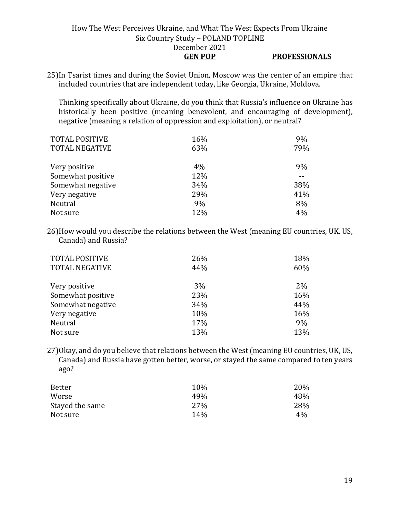### How The West Perceives Ukraine, and What The West Expects From Ukraine Six Country Study – POLAND TOPLINE December 2021 **GEN POP PROFESSIONALS**

25)In Tsarist times and during the Soviet Union, Moscow was the center of an empire that included countries that are independent today, like Georgia, Ukraine, Moldova.

Thinking specifically about Ukraine, do you think that Russia's influence on Ukraine has historically been positive (meaning benevolent, and encouraging of development), negative (meaning a relation of oppression and exploitation), or neutral?

| <b>TOTAL POSITIVE</b> | 16% | 9%  |
|-----------------------|-----|-----|
| <b>TOTAL NEGATIVE</b> | 63% | 79% |
|                       |     |     |
| Very positive         | 4%  | 9%  |
| Somewhat positive     | 12% |     |
| Somewhat negative     | 34% | 38% |
| Very negative         | 29% | 41% |
| Neutral               | 9%  | 8%  |
| Not sure              | 12% | 4%  |

26)How would you describe the relations between the West (meaning EU countries, UK, US, Canada) and Russia?

| <b>TOTAL POSITIVE</b><br><b>TOTAL NEGATIVE</b> | 26%<br>44% | 18%<br>60% |
|------------------------------------------------|------------|------------|
| Very positive                                  | 3%         | 2%         |
| Somewhat positive                              | 23%        | 16%        |
| Somewhat negative                              | 34%        | 44%        |
| Very negative                                  | 10%        | 16%        |
| Neutral                                        | 17%        | 9%         |
| Not sure                                       | 13%        | 13%        |

27)Okay, and do you believe that relations between the West (meaning EU countries, UK, US, Canada) and Russia have gotten better, worse, or stayed the same compared to ten years ago?

| Better          | 10%             | 20% |
|-----------------|-----------------|-----|
| Worse           | 49%             | 48% |
| Stayed the same | 27%             | 28% |
| Not sure        | 14 <sub>%</sub> | 4%  |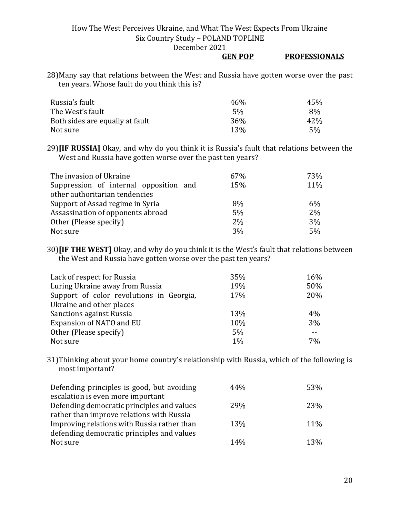December 2021

#### **GEN POP PROFESSIONALS**

28)Many say that relations between the West and Russia have gotten worse over the past ten years. Whose fault do you think this is?

| Russia's fault                  | 46%        | 45%  |
|---------------------------------|------------|------|
| The West's fault                | 5%         | 8%   |
| Both sides are equally at fault | 36%        | 42\% |
| Not sure                        | <b>13%</b> | 5%   |

29)**[IF RUSSIA]** Okay, and why do you think it is Russia's fault that relations between the West and Russia have gotten worse over the past ten years?

| The invasion of Ukraine                | 67% | 73%   |
|----------------------------------------|-----|-------|
| Suppression of internal opposition and | 15% | 11%   |
| other authoritarian tendencies         |     |       |
| Support of Assad regime in Syria       | 8%  | $6\%$ |
| Assassination of opponents abroad      | 5%  | 2%    |
| Other (Please specify)                 | 2%  | 3%    |
| Not sure                               | 3%  | 5%    |

30)**[IF THE WEST]** Okay, and why do you think it is the West's fault that relations between the West and Russia have gotten worse over the past ten years?

| Lack of respect for Russia               | 35% | 16% |
|------------------------------------------|-----|-----|
| Luring Ukraine away from Russia          | 19% | 50% |
| Support of color revolutions in Georgia, | 17% | 20% |
| Ukraine and other places                 |     |     |
| Sanctions against Russia                 | 13% | 4%  |
| Expansion of NATO and EU                 | 10% | 3%  |
| Other (Please specify)                   | 5%  | --  |
| Not sure                                 | 1%  | 7%  |

31)Thinking about your home country's relationship with Russia, which of the following is most important?

| Defending principles is good, but avoiding  | 44%        | 53%        |
|---------------------------------------------|------------|------------|
| escalation is even more important           |            |            |
| Defending democratic principles and values  | 29%        | 23%        |
| rather than improve relations with Russia   |            |            |
| Improving relations with Russia rather than | <b>13%</b> | 11%        |
| defending democratic principles and values  |            |            |
| Not sure                                    | 14%        | <b>13%</b> |
|                                             |            |            |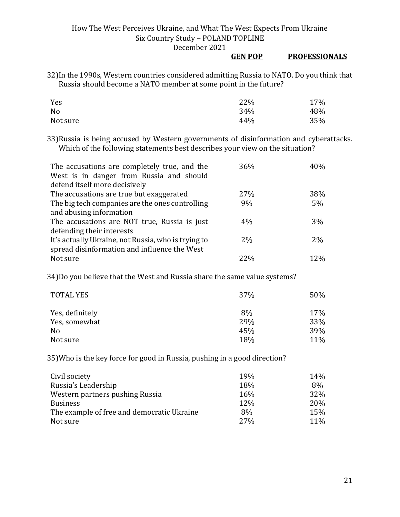#### **GEN POP PROFESSIONALS**

32)In the 1990s, Western countries considered admitting Russia to NATO. Do you think that Russia should become a NATO member at some point in the future?

| Yes      | 22% | 17% |
|----------|-----|-----|
| No       | 34% | 48% |
| Not sure | 44% | 35% |

33)Russia is being accused by Western governments of disinformation and cyberattacks. Which of the following statements best describes your view on the situation?

| The accusations are completely true, and the<br>West is in danger from Russia and should | 36% | 40% |
|------------------------------------------------------------------------------------------|-----|-----|
| defend itself more decisively                                                            |     |     |
| The accusations are true but exaggerated                                                 | 27% | 38% |
| The big tech companies are the ones controlling                                          | 9%  | 5%  |
| and abusing information                                                                  |     |     |
| The accusations are NOT true, Russia is just                                             | 4%  | 3%  |
| defending their interests                                                                |     |     |
| It's actually Ukraine, not Russia, who is trying to                                      | 2%  | 2%  |
| spread disinformation and influence the West                                             |     |     |
| Not sure                                                                                 | 22% | 12% |

34)Do you believe that the West and Russia share the same value systems?

| 37% | 50% |
|-----|-----|
| 8%  | 17% |
| 29% | 33% |
| 45% | 39% |
| 18% | 11% |
|     |     |

35)Who is the key force for good in Russia, pushing in a good direction?

| Civil society                              | <b>19%</b> | 14%        |
|--------------------------------------------|------------|------------|
| Russia's Leadership                        | 18%        | 8%         |
| Western partners pushing Russia            | 16%        | 32%        |
| <b>Business</b>                            | 12%        | 20%        |
| The example of free and democratic Ukraine | 8%         | 15%        |
| Not sure                                   | <b>27%</b> | <b>11%</b> |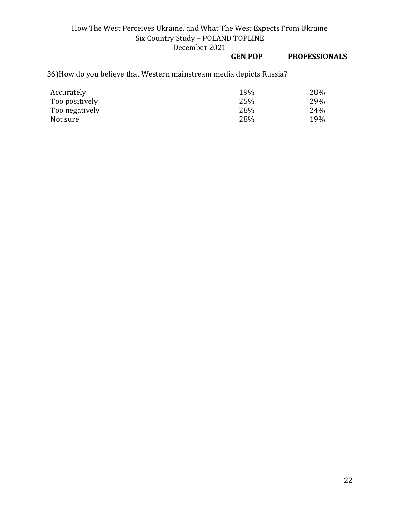### **GEN POP PROFESSIONALS**

36)How do you believe that Western mainstream media depicts Russia?

| Accurately     | 19% | 28% |
|----------------|-----|-----|
| Too positively | 25% | 29% |
| Too negatively | 28% | 24% |
| Not sure       | 28% | 19% |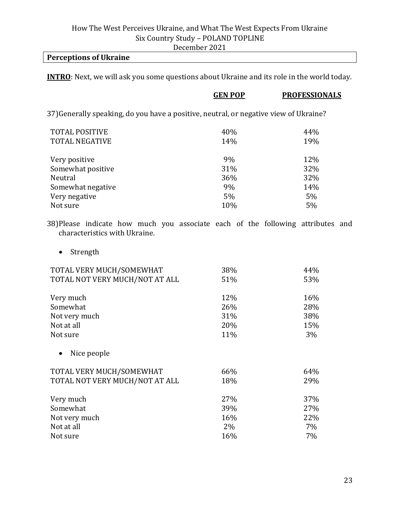### **Perceptions of Ukraine**

**INTRO**: Next, we will ask you some questions about Ukraine and its role in the world today.

|                                                                                                                  | <b>GEN POP</b> | <b>PROFESSIONALS</b> |
|------------------------------------------------------------------------------------------------------------------|----------------|----------------------|
| 37) Generally speaking, do you have a positive, neutral, or negative view of Ukraine?                            |                |                      |
| <b>TOTAL POSITIVE</b>                                                                                            | 40%            | 44%                  |
| <b>TOTAL NEGATIVE</b>                                                                                            | 14%            | 19%                  |
| Very positive                                                                                                    | 9%             | 12%                  |
| Somewhat positive                                                                                                | 31%            | 32%                  |
| Neutral                                                                                                          | 36%            | 32%                  |
| Somewhat negative                                                                                                | 9%             | 14%                  |
| Very negative                                                                                                    | 5%             | 5%                   |
| Not sure                                                                                                         | 10%            | 5%                   |
| 38) Please indicate how much you associate each of the following attributes and<br>characteristics with Ukraine. |                |                      |

• Strength

| TOTAL VERY MUCH/SOMEWHAT       | 38%   | 44%   |
|--------------------------------|-------|-------|
| TOTAL NOT VERY MUCH/NOT AT ALL | 51%   | 53%   |
| Very much                      | 12%   | 16%   |
| Somewhat                       | 26%   | 28%   |
| Not very much                  | 31%   | 38%   |
| Not at all                     | 20%   | 15%   |
| Not sure                       | 11%   | 3%    |
| Nice people                    |       |       |
| TOTAL VERY MUCH/SOMEWHAT       | 66%   | 64%   |
| TOTAL NOT VERY MUCH/NOT AT ALL | 18%   | 29%   |
| Very much                      | 27%   | 37%   |
| Somewhat                       | 39%   | 27%   |
| Not very much                  | 16%   | 22%   |
| Not at all                     | $2\%$ | $7\%$ |
| Not sure                       | 16%   | $7\%$ |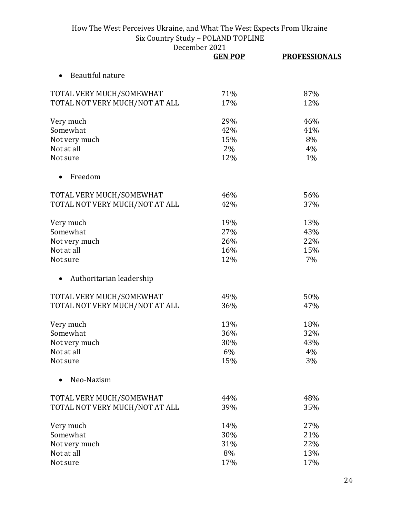|                                | <b>GEN POP</b> | <b>PROFESSIONALS</b> |
|--------------------------------|----------------|----------------------|
| Beautiful nature               |                |                      |
| TOTAL VERY MUCH/SOMEWHAT       | 71%            | 87%                  |
| TOTAL NOT VERY MUCH/NOT AT ALL | 17%            | 12%                  |
| Very much                      | 29%            | 46%                  |
| Somewhat                       | 42%            | 41%                  |
| Not very much                  | 15%            | 8%                   |
| Not at all                     | 2%             | 4%                   |
| Not sure                       | 12%            | 1%                   |
| Freedom                        |                |                      |
| TOTAL VERY MUCH/SOMEWHAT       | 46%            | 56%                  |
| TOTAL NOT VERY MUCH/NOT AT ALL | 42%            | 37%                  |
| Very much                      | 19%            | 13%                  |
| Somewhat                       | 27%            | 43%                  |
| Not very much                  | 26%            | 22%                  |
| Not at all                     | 16%            | 15%                  |
| Not sure                       | 12%            | 7%                   |
| Authoritarian leadership       |                |                      |
| TOTAL VERY MUCH/SOMEWHAT       | 49%            | 50%                  |
| TOTAL NOT VERY MUCH/NOT AT ALL | 36%            | 47%                  |
| Very much                      | 13%            | 18%                  |
| Somewhat                       | 36%            | 32%                  |
| Not very much                  | 30%            | 43%                  |
| Not at all                     | 6%             | 4%                   |
| Not sure                       | 15%            | 3%                   |
| Neo-Nazism                     |                |                      |
| TOTAL VERY MUCH/SOMEWHAT       | 44%            | 48%                  |
| TOTAL NOT VERY MUCH/NOT AT ALL | 39%            | 35%                  |
| Very much                      | 14%            | 27%                  |
| Somewhat                       | 30%            | 21%                  |
| Not very much                  | 31%            | 22%                  |
| Not at all                     | 8%             | 13%                  |
| Not sure                       | 17%            | 17%                  |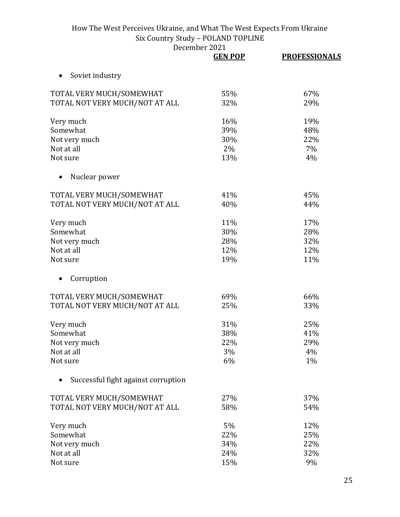|                                     | <b>GEN POP</b> | <b>PROFESSIONALS</b> |
|-------------------------------------|----------------|----------------------|
| Soviet industry<br>$\bullet$        |                |                      |
| TOTAL VERY MUCH/SOMEWHAT            | 55%            | 67%                  |
| TOTAL NOT VERY MUCH/NOT AT ALL      | 32%            | 29%                  |
| Very much                           | 16%            | 19%                  |
| Somewhat                            | 39%            | 48%                  |
| Not very much                       | 30%            | 22%                  |
| Not at all                          | 2%             | 7%                   |
| Not sure                            | 13%            | 4%                   |
| Nuclear power                       |                |                      |
| TOTAL VERY MUCH/SOMEWHAT            | 41%            | 45%                  |
| TOTAL NOT VERY MUCH/NOT AT ALL      | 40%            | 44%                  |
| Very much                           | 11%            | 17%                  |
| Somewhat                            | 30%            | 28%                  |
| Not very much                       | 28%            | 32%                  |
| Not at all                          | 12%            | 12%                  |
| Not sure                            | 19%            | 11%                  |
| Corruption                          |                |                      |
| TOTAL VERY MUCH/SOMEWHAT            | 69%            | 66%                  |
| TOTAL NOT VERY MUCH/NOT AT ALL      | 25%            | 33%                  |
| Very much                           | 31%            | 25%                  |
| Somewhat                            | 38%            | 41%                  |
| Not very much                       | 22%            | 29%                  |
| Not at all                          | 3%             | 4%                   |
| Not sure                            | 6%             | 1%                   |
| Successful fight against corruption |                |                      |
| TOTAL VERY MUCH/SOMEWHAT            | 27%            | 37%                  |
| TOTAL NOT VERY MUCH/NOT AT ALL      | 58%            | 54%                  |
| Very much                           | 5%             | 12%                  |
| Somewhat                            | 22%            | 25%                  |
| Not very much                       | 34%            | 22%                  |
| Not at all                          | 24%            | 32%                  |
| Not sure                            | 15%            | 9%                   |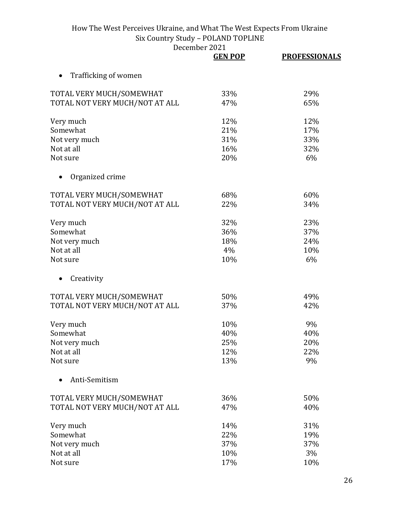|                                | December 2021  |                      |
|--------------------------------|----------------|----------------------|
|                                | <b>GEN POP</b> | <b>PROFESSIONALS</b> |
| Trafficking of women           |                |                      |
| TOTAL VERY MUCH/SOMEWHAT       | 33%            | 29%                  |
| TOTAL NOT VERY MUCH/NOT AT ALL | 47%            | 65%                  |
| Very much                      | 12%            | 12%                  |
| Somewhat                       | 21%            | 17%                  |
| Not very much                  | 31%            | 33%                  |
| Not at all                     | 16%            | 32%                  |
| Not sure                       | 20%            | 6%                   |
| Organized crime                |                |                      |
| TOTAL VERY MUCH/SOMEWHAT       | 68%            | 60%                  |
| TOTAL NOT VERY MUCH/NOT AT ALL | 22%            | 34%                  |
| Very much                      | 32%            | 23%                  |
| Somewhat                       | 36%            | 37%                  |
| Not very much                  | 18%            | 24%                  |
| Not at all                     | 4%             | 10%                  |
| Not sure                       | 10%            | 6%                   |
| Creativity                     |                |                      |
| TOTAL VERY MUCH/SOMEWHAT       | 50%            | 49%                  |
| TOTAL NOT VERY MUCH/NOT AT ALL | 37%            | 42%                  |
| Very much                      | 10%            | 9%                   |
| Somewhat                       | 40%            | 40%                  |
| Not very much                  | 25%            | 20%                  |
| Not at all                     | 12%            | 22%                  |
| Not sure                       | 13%            | 9%                   |
| Anti-Semitism                  |                |                      |
| TOTAL VERY MUCH/SOMEWHAT       | 36%            | 50%                  |
| TOTAL NOT VERY MUCH/NOT AT ALL | 47%            | 40%                  |
| Very much                      | 14%            | 31%                  |
| Somewhat                       | 22%            | 19%                  |
| Not very much                  | 37%            | 37%                  |
| Not at all                     | 10%            | 3%                   |
| Not sure                       | 17%            | 10%                  |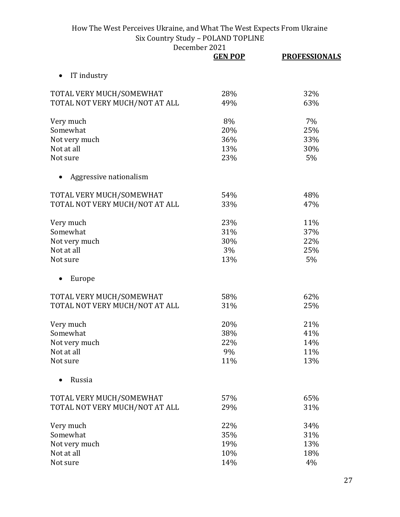|                                | <b>GEN POP</b> | <b>PROFESSIONALS</b> |
|--------------------------------|----------------|----------------------|
| IT industry<br>$\bullet$       |                |                      |
| TOTAL VERY MUCH/SOMEWHAT       | 28%            | 32%                  |
| TOTAL NOT VERY MUCH/NOT AT ALL | 49%            | 63%                  |
| Very much                      | 8%             | 7%                   |
| Somewhat                       | 20%            | 25%                  |
| Not very much                  | 36%            | 33%                  |
| Not at all                     | 13%            | 30%                  |
| Not sure                       | 23%            | 5%                   |
| Aggressive nationalism         |                |                      |
| TOTAL VERY MUCH/SOMEWHAT       | 54%            | 48%                  |
| TOTAL NOT VERY MUCH/NOT AT ALL | 33%            | 47%                  |
| Very much                      | 23%            | 11%                  |
| Somewhat                       | 31%            | 37%                  |
| Not very much                  | 30%            | 22%                  |
| Not at all                     | 3%             | 25%                  |
| Not sure                       | 13%            | 5%                   |
| Europe                         |                |                      |
| TOTAL VERY MUCH/SOMEWHAT       | 58%            | 62%                  |
| TOTAL NOT VERY MUCH/NOT AT ALL | 31%            | 25%                  |
| Very much                      | 20%            | 21%                  |
| Somewhat                       | 38%            | 41%                  |
| Not very much                  | 22%            | 14%                  |
| Not at all                     | 9%             | 11%                  |
| Not sure                       | 11%            | 13%                  |
| Russia                         |                |                      |
| TOTAL VERY MUCH/SOMEWHAT       | 57%            | 65%                  |
| TOTAL NOT VERY MUCH/NOT AT ALL | 29%            | 31%                  |
| Very much                      | 22%            | 34%                  |
| Somewhat                       | 35%            | 31%                  |
| Not very much                  | 19%            | 13%                  |
| Not at all                     | 10%            | 18%                  |
| Not sure                       | 14%            | 4%                   |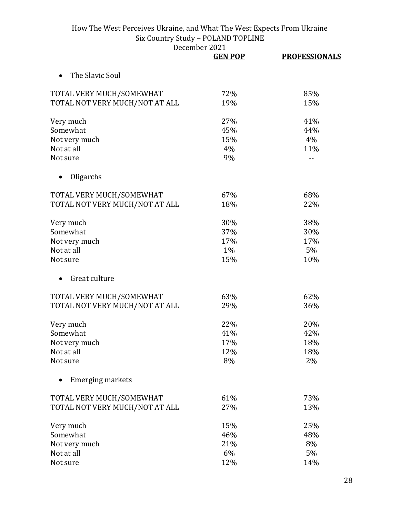|                                | <b>GEN POP</b> | <b>PROFESSIONALS</b> |
|--------------------------------|----------------|----------------------|
| The Slavic Soul                |                |                      |
| TOTAL VERY MUCH/SOMEWHAT       | 72%            | 85%                  |
| TOTAL NOT VERY MUCH/NOT AT ALL | 19%            | 15%                  |
| Very much                      | 27%            | 41%                  |
| Somewhat                       | 45%            | 44%                  |
| Not very much                  | 15%            | 4%                   |
| Not at all                     | 4%             | 11%                  |
| Not sure                       | 9%             |                      |
| Oligarchs                      |                |                      |
| TOTAL VERY MUCH/SOMEWHAT       | 67%            | 68%                  |
| TOTAL NOT VERY MUCH/NOT AT ALL | 18%            | 22%                  |
| Very much                      | 30%            | 38%                  |
| Somewhat                       | 37%            | 30%                  |
| Not very much                  | 17%            | 17%                  |
| Not at all                     | 1%             | 5%                   |
| Not sure                       | 15%            | 10%                  |
| Great culture                  |                |                      |
| TOTAL VERY MUCH/SOMEWHAT       | 63%            | 62%                  |
| TOTAL NOT VERY MUCH/NOT AT ALL | 29%            | 36%                  |
| Very much                      | 22%            | 20%                  |
| Somewhat                       | 41%            | 42%                  |
| Not very much                  | 17%            | 18%                  |
| Not at all                     | 12%            | 18%                  |
| Not sure                       | 8%             | 2%                   |
| <b>Emerging markets</b>        |                |                      |
| TOTAL VERY MUCH/SOMEWHAT       | 61%            | 73%                  |
| TOTAL NOT VERY MUCH/NOT AT ALL | 27%            | 13%                  |
| Very much                      | 15%            | 25%                  |
| Somewhat                       | 46%            | 48%                  |
| Not very much                  | 21%            | 8%                   |
| Not at all                     | 6%             | 5%                   |
| Not sure                       | 12%            | 14%                  |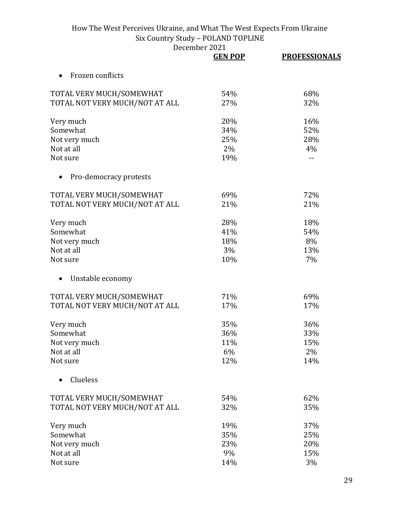|                                | <b>GEN POP</b> | <b>PROFESSIONALS</b> |
|--------------------------------|----------------|----------------------|
| Frozen conflicts               |                |                      |
| TOTAL VERY MUCH/SOMEWHAT       | 54%            | 68%                  |
| TOTAL NOT VERY MUCH/NOT AT ALL | 27%            | 32%                  |
| Very much                      | 20%            | 16%                  |
| Somewhat                       | 34%            | 52%                  |
| Not very much                  | 25%            | 28%                  |
| Not at all                     | 2%             | 4%                   |
| Not sure                       | 19%            |                      |
| Pro-democracy protests         |                |                      |
| TOTAL VERY MUCH/SOMEWHAT       | 69%            | 72%                  |
| TOTAL NOT VERY MUCH/NOT AT ALL | 21%            | 21%                  |
| Very much                      | 28%            | 18%                  |
| Somewhat                       | 41%            | 54%                  |
| Not very much                  | 18%            | 8%                   |
| Not at all                     | 3%             | 13%                  |
| Not sure                       | 10%            | 7%                   |
| Unstable economy               |                |                      |
| TOTAL VERY MUCH/SOMEWHAT       | 71%            | 69%                  |
| TOTAL NOT VERY MUCH/NOT AT ALL | 17%            | 17%                  |
| Very much                      | 35%            | 36%                  |
| Somewhat                       | 36%            | 33%                  |
| Not very much                  | 11%            | 15%                  |
| Not at all                     | 6%             | 2%                   |
| Not sure                       | 12%            | 14%                  |
| Clueless                       |                |                      |
| TOTAL VERY MUCH/SOMEWHAT       | 54%            | 62%                  |
| TOTAL NOT VERY MUCH/NOT AT ALL | 32%            | 35%                  |
| Very much                      | 19%            | 37%                  |
| Somewhat                       | 35%            | 25%                  |
| Not very much                  | 23%            | 20%                  |
| Not at all                     | 9%             | 15%                  |
| Not sure                       | 14%            | 3%                   |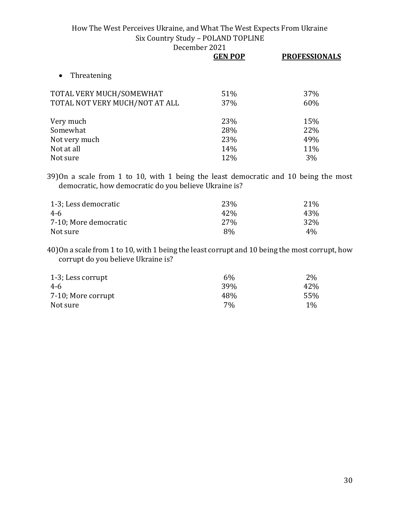|                                | <b>GEN POP</b> | <b>PROFESSIONALS</b> |
|--------------------------------|----------------|----------------------|
| Threatening<br>$\bullet$       |                |                      |
| TOTAL VERY MUCH/SOMEWHAT       | 51%            | 37%                  |
| TOTAL NOT VERY MUCH/NOT AT ALL | 37%            | 60%                  |
| Very much                      | 23%            | 15%                  |
| Somewhat                       | 28%            | 22%                  |
| Not very much                  | 23%            | 49%                  |
| Not at all                     | 14%            | 11%                  |
| Not sure                       | 12%            | 3%                   |

39)On a scale from 1 to 10, with 1 being the least democratic and 10 being the most democratic, how democratic do you believe Ukraine is?

| 1-3; Less democratic  | 23\%            | 21\%  |
|-----------------------|-----------------|-------|
| 4-6                   | 42%             | 43%   |
| 7-10; More democratic | 27 <sub>%</sub> | 32%   |
| Not sure              | 8%              | $4\%$ |

40)On a scale from 1 to 10, with 1 being the least corrupt and 10 being the most corrupt, how corrupt do you believe Ukraine is?

| 1-3; Less corrupt  | $6\%$      | $2\%$ |
|--------------------|------------|-------|
| 4-6                | <b>39%</b> | 42\%  |
| 7-10; More corrupt | 48%        | 55%   |
| Not sure           | 7%         | $1\%$ |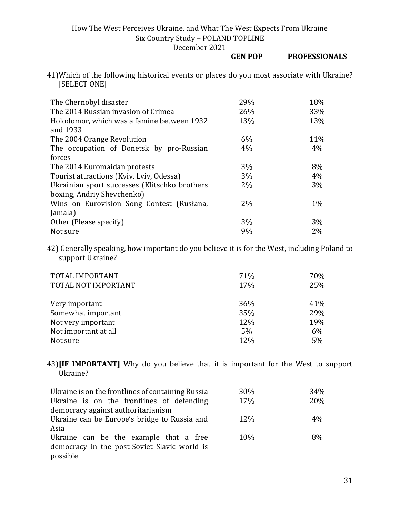December 2021

|                                                            | <b>GEN POP</b> |  | <b>PROFESSIONALS</b> |
|------------------------------------------------------------|----------------|--|----------------------|
| is an interest de cian nos et sans state cuttle III-metres |                |  |                      |

41)Which of the following historical events or places do you most associate with Ukraine? [SELECT ONE]

| The Chernobyl disaster                        | 29%   | 18%   |
|-----------------------------------------------|-------|-------|
| The 2014 Russian invasion of Crimea           | 26%   | 33%   |
| Holodomor, which was a famine between 1932    | 13%   | 13%   |
| and 1933                                      |       |       |
| The 2004 Orange Revolution                    | 6%    | 11%   |
| The occupation of Donetsk by pro-Russian      | 4%    | 4%    |
| forces                                        |       |       |
| The 2014 Euromaidan protests                  | 3%    | 8%    |
| Tourist attractions (Kyiv, Lviv, Odessa)      | 3%    | 4%    |
| Ukrainian sport successes (Klitschko brothers | $2\%$ | 3%    |
| boxing, Andriy Shevchenko)                    |       |       |
| Wins on Eurovision Song Contest (Rusłana,     | $2\%$ | $1\%$ |
| Jamala)                                       |       |       |
| Other (Please specify)                        | 3%    | 3%    |
| Not sure                                      | 9%    | 2%    |

42) Generally speaking, how important do you believe it is for the West, including Poland to support Ukraine?

| TOTAL IMPORTANT      | 71% | 70% |
|----------------------|-----|-----|
| TOTAL NOT IMPORTANT  | 17% | 25% |
| Very important       | 36% | 41% |
| Somewhat important   | 35% | 29% |
| Not very important   | 12% | 19% |
| Not important at all | 5%  | 6%  |
| Not sure             | 12% | 5%  |

43)**[IF IMPORTANT]** Why do you believe that it is important for the West to support Ukraine?

| Ukraine is on the frontlines of containing Russia | 30%  | 34%   |
|---------------------------------------------------|------|-------|
| Ukraine is on the frontlines of defending         | 17%  | 20%   |
| democracy against authoritarianism                |      |       |
| Ukraine can be Europe's bridge to Russia and      | 12\% | $4\%$ |
| Asia                                              |      |       |
| Ukraine can be the example that a free            | 10%  | 8%    |
| democracy in the post-Soviet Slavic world is      |      |       |
| possible                                          |      |       |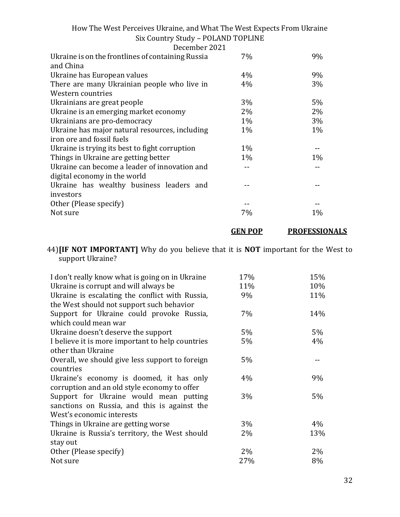| How The West Perceives Ukraine, and What The West Expects From Ukraine |  |
|------------------------------------------------------------------------|--|
| Six Country Study - POLAND TOPLINE                                     |  |
|                                                                        |  |

| December 2021                                                                 |       |       |
|-------------------------------------------------------------------------------|-------|-------|
| Ukraine is on the frontlines of containing Russia<br>and China                | 7%    | 9%    |
| Ukraine has European values                                                   | 4%    | 9%    |
| There are many Ukrainian people who live in                                   | 4%    | 3%    |
| Western countries                                                             |       |       |
| Ukrainians are great people                                                   | $3\%$ | 5%    |
| Ukraine is an emerging market economy                                         | $2\%$ | $2\%$ |
| Ukrainians are pro-democracy                                                  | $1\%$ | 3%    |
| Ukraine has major natural resources, including                                | $1\%$ | $1\%$ |
| iron ore and fossil fuels                                                     |       |       |
| Ukraine is trying its best to fight corruption                                | $1\%$ |       |
| Things in Ukraine are getting better                                          | $1\%$ | $1\%$ |
| Ukraine can become a leader of innovation and<br>digital economy in the world |       |       |
| Ukraine has wealthy business leaders and<br>investors                         |       |       |
| Other (Please specify)                                                        |       |       |
| Not sure                                                                      | 7%    | $1\%$ |

### 44)**[IF NOT IMPORTANT]** Why do you believe that it is **NOT** important for the West to support Ukraine?

**GEN POP PROFESSIONALS**

| I don't really know what is going on in Ukraine  | 17%   | 15% |
|--------------------------------------------------|-------|-----|
| Ukraine is corrupt and will always be            | 11%   | 10% |
| Ukraine is escalating the conflict with Russia,  | 9%    | 11% |
| the West should not support such behavior        |       |     |
| Support for Ukraine could provoke Russia,        | 7%    | 14% |
| which could mean war                             |       |     |
| Ukraine doesn't deserve the support              | 5%    | 5%  |
| I believe it is more important to help countries | 5%    | 4%  |
| other than Ukraine                               |       |     |
| Overall, we should give less support to foreign  | 5%    |     |
| countries                                        |       |     |
| Ukraine's economy is doomed, it has only         | 4%    | 9%  |
| corruption and an old style economy to offer     |       |     |
| Support for Ukraine would mean putting           | 3%    | 5%  |
| sanctions on Russia, and this is against the     |       |     |
| West's economic interests                        |       |     |
| Things in Ukraine are getting worse              | 3%    | 4%  |
| Ukraine is Russia's territory, the West should   | 2%    | 13% |
| stay out                                         |       |     |
| Other (Please specify)                           | $2\%$ | 2%  |
| Not sure                                         | 27%   | 8%  |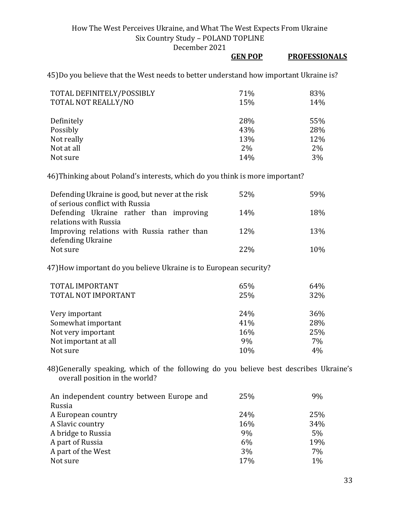December 2021

### **GEN POP PROFESSIONALS**

45)Do you believe that the West needs to better understand how important Ukraine is?

| TOTAL DEFINITELY/POSSIBLY<br>TOTAL NOT REALLY/NO | 71%<br>15% | 83%<br>14% |
|--------------------------------------------------|------------|------------|
| Definitely                                       | 28%        | 55%        |
| Possibly                                         | 43%        | 28%        |
| Not really                                       | 13%        | 12%        |
| Not at all                                       | 2%         | $2\%$      |
| Not sure                                         | 14%        | 3%         |

46)Thinking about Poland's interests, which do you think is more important?

| Defending Ukraine is good, but never at the risk<br>of serious conflict with Russia | 52%             | 59% |
|-------------------------------------------------------------------------------------|-----------------|-----|
| Defending Ukraine rather than improving                                             | 14%             | 18% |
| relations with Russia                                                               |                 |     |
| Improving relations with Russia rather than<br>defending Ukraine                    | 12 <sub>%</sub> | 13% |
| Not sure                                                                            | 2.2%            | 10% |

47)How important do you believe Ukraine is to European security?

| TOTAL IMPORTANT      | 65% | 64% |
|----------------------|-----|-----|
| TOTAL NOT IMPORTANT  | 25% | 32% |
|                      |     |     |
| Very important       | 24% | 36% |
| Somewhat important   | 41% | 28% |
| Not very important   | 16% | 25% |
| Not important at all | 9%  | 7%  |
| Not sure             | 10% | 4%  |

48)Generally speaking, which of the following do you believe best describes Ukraine's overall position in the world?

| An independent country between Europe and | 25% | 9%    |
|-------------------------------------------|-----|-------|
| Russia                                    |     |       |
| A European country                        | 24% | 25%   |
| A Slavic country                          | 16% | 34%   |
| A bridge to Russia                        | 9%  | $5\%$ |
| A part of Russia                          | 6%  | 19%   |
| A part of the West                        | 3%  | 7%    |
| Not sure                                  | 17% | 1%    |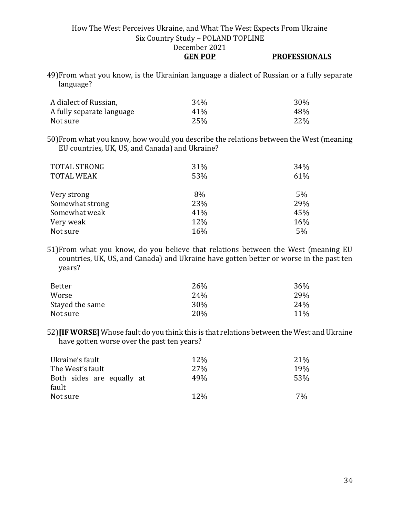### **GEN POP PROFESSIONALS**

49)From what you know, is the Ukrainian language a dialect of Russian or a fully separate language?

| A dialect of Russian,     | 34%             | 30%  |
|---------------------------|-----------------|------|
| A fully separate language | 41 <sup>%</sup> | 48%  |
| Not sure                  | 25%             | 22\% |

50)From what you know, how would you describe the relations between the West (meaning EU countries, UK, US, and Canada) and Ukraine?

| <b>TOTAL STRONG</b> | 31% | 34% |
|---------------------|-----|-----|
| <b>TOTAL WEAK</b>   | 53% | 61% |
|                     |     |     |
| Very strong         | 8%  | 5%  |
| Somewhat strong     | 23% | 29% |
| Somewhat weak       | 41% | 45% |
| Very weak           | 12% | 16% |
| Not sure            | 16% | 5%  |

51)From what you know, do you believe that relations between the West (meaning EU countries, UK, US, and Canada) and Ukraine have gotten better or worse in the past ten years?

| Better          | 26%             | 36% |
|-----------------|-----------------|-----|
| Worse           | 24 <sub>%</sub> | 29% |
| Stayed the same | 30%             | 24% |
| Not sure        | 20 <sub>%</sub> | 11% |

52)**[IF WORSE]** Whose fault do you think this is that relations between the West and Ukraine have gotten worse over the past ten years?

| Ukraine's fault           | 12\%            | 21\% |
|---------------------------|-----------------|------|
| The West's fault          | 27 <sub>%</sub> | 19%  |
| Both sides are equally at | 49%             | 53%  |
| fault                     |                 |      |
| Not sure                  | 12\%            | 7%   |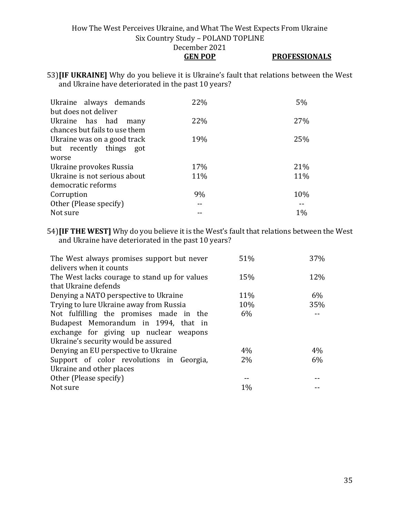### How The West Perceives Ukraine, and What The West Expects From Ukraine Six Country Study – POLAND TOPLINE December 2021 **GEN POP PROFESSIONALS**

53)**[IF UKRAINE]** Why do you believe it is Ukraine's fault that relations between the West and Ukraine have deteriorated in the past 10 years?

| Ukraine always demands        | 22% | 5%  |
|-------------------------------|-----|-----|
| but does not deliver          |     |     |
| Ukraine has had<br>many       | 22% | 27% |
| chances but fails to use them |     |     |
| Ukraine was on a good track   | 19% | 25% |
| but recently things got       |     |     |
| worse                         |     |     |
| Ukraine provokes Russia       | 17% | 21% |
| Ukraine is not serious about  | 11% | 11% |
| democratic reforms            |     |     |
| Corruption                    | 9%  | 10% |
| Other (Please specify)        |     |     |
| Not sure                      |     | 1%  |

54)**[IF THE WEST]** Why do you believe it is the West's fault that relations between the West and Ukraine have deteriorated in the past 10 years?

| The West always promises support but never    | 51%   | 37%   |
|-----------------------------------------------|-------|-------|
| delivers when it counts                       |       |       |
| The West lacks courage to stand up for values | 15%   | 12%   |
| that Ukraine defends                          |       |       |
| Denying a NATO perspective to Ukraine         | 11%   | $6\%$ |
| Trying to lure Ukraine away from Russia       | 10%   | 35%   |
| Not fulfilling the promises made in the       | 6%    |       |
| Budapest Memorandum in 1994, that in          |       |       |
| exchange for giving up nuclear weapons        |       |       |
| Ukraine's security would be assured           |       |       |
| Denying an EU perspective to Ukraine          | 4%    | $4\%$ |
| Support of color revolutions in Georgia,      | $2\%$ | $6\%$ |
| Ukraine and other places                      |       |       |
| Other (Please specify)                        |       |       |
| Not sure                                      | 1%    |       |
|                                               |       |       |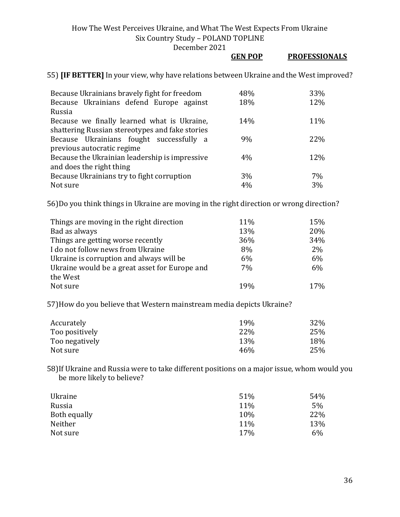December 2021

|                                                                                                | <b>GEN POP</b> | <b>PROFESSIONALS</b> |
|------------------------------------------------------------------------------------------------|----------------|----------------------|
| 55) <b>[IF BETTER]</b> In your view, why have relations between Ukraine and the West improved? |                |                      |

| Because Ukrainians bravely fight for freedom    | 48% | 33% |
|-------------------------------------------------|-----|-----|
| Because Ukrainians defend Europe against        | 18% | 12% |
| Russia                                          |     |     |
| Because we finally learned what is Ukraine,     | 14% | 11% |
| shattering Russian stereotypes and fake stories |     |     |
| Because Ukrainians fought successfully a        | 9%  | 22% |
| previous autocratic regime                      |     |     |
| Because the Ukrainian leadership is impressive  | 4%  | 12% |
| and does the right thing                        |     |     |
| Because Ukrainians try to fight corruption      | 3%  | 7%  |
| Not sure                                        | 4%  | 3%  |

56)Do you think things in Ukraine are moving in the right direction or wrong direction?

| Things are moving in the right direction      | 11% | 15%   |
|-----------------------------------------------|-----|-------|
| Bad as always                                 | 13% | 20%   |
| Things are getting worse recently             | 36% | 34%   |
| I do not follow news from Ukraine             | 8%  | $2\%$ |
| Ukraine is corruption and always will be      | 6%  | 6%    |
| Ukraine would be a great asset for Europe and | 7%  | 6%    |
| the West                                      |     |       |
| Not sure                                      | 19% | 17%   |

57)How do you believe that Western mainstream media depicts Ukraine?

| Accurately     | 19%        | 32% |
|----------------|------------|-----|
| Too positively | <b>22%</b> | 25% |
| Too negatively | 13\%       | 18% |
| Not sure       | 46%        | 25% |

58)If Ukraine and Russia were to take different positions on a major issue, whom would you be more likely to believe?

| Ukraine      | 51% | 54% |
|--------------|-----|-----|
| Russia       | 11% | 5%  |
| Both equally | 10% | 22% |
| Neither      | 11% | 13% |
| Not sure     | 17% | 6%  |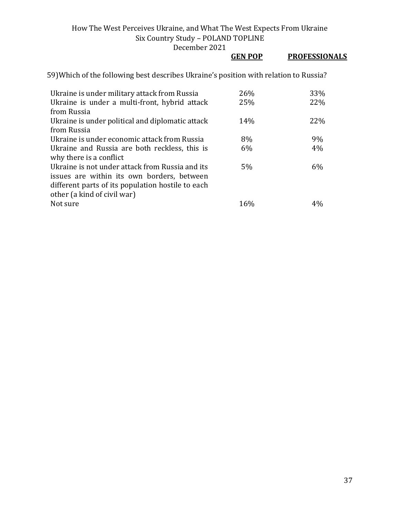December 2021

|                                                                                                                                                                                   | <b>GEN POP</b> | <b>PROFESSIONALS</b> |
|-----------------------------------------------------------------------------------------------------------------------------------------------------------------------------------|----------------|----------------------|
| 59) Which of the following best describes Ukraine's position with relation to Russia?                                                                                             |                |                      |
| Ukraine is under military attack from Russia                                                                                                                                      | 26%            | 33%                  |
| Ukraine is under a multi-front, hybrid attack<br>from Russia                                                                                                                      | 25%            | 22%                  |
| Ukraine is under political and diplomatic attack<br>from Russia                                                                                                                   | 14%            | 22%                  |
| Ukraine is under economic attack from Russia                                                                                                                                      | 8%             | 9%                   |
| Ukraine and Russia are both reckless, this is<br>why there is a conflict                                                                                                          | 6%             | 4%                   |
| Ukraine is not under attack from Russia and its<br>issues are within its own borders, between<br>different parts of its population hostile to each<br>other (a kind of civil war) | 5%             | 6%                   |
| Not sure                                                                                                                                                                          | 16%            | 4%                   |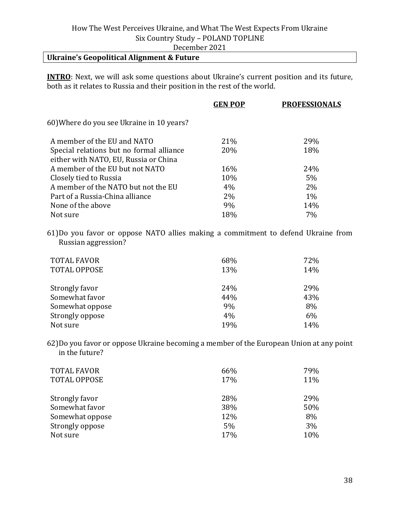# December 2021

### **Ukraine's Geopolitical Alignment & Future**

**INTRO**: Next, we will ask some questions about Ukraine's current position and its future, both as it relates to Russia and their position in the rest of the world.

|                                           | <b>GEN POP</b> | <b>PROFESSIONALS</b> |
|-------------------------------------------|----------------|----------------------|
| 60) Where do you see Ukraine in 10 years? |                |                      |
| A member of the EU and NATO               | 21%            | 29%                  |
| Special relations but no formal alliance  | 20%            | 18%                  |
| either with NATO, EU, Russia or China     |                |                      |
| A member of the EU but not NATO           | 16%            | 24%                  |
| Closely tied to Russia                    | 10%            | 5%                   |
| A member of the NATO but not the EU       | 4%             | 2%                   |
| Part of a Russia-China alliance           | 2%             | $1\%$                |
| None of the above                         | 9%             | 14%                  |
| Not sure                                  | 18%            | 7%                   |
|                                           |                |                      |

61)Do you favor or oppose NATO allies making a commitment to defend Ukraine from Russian aggression?

| <b>TOTAL FAVOR</b><br><b>TOTAL OPPOSE</b> | 68%<br>13% | 72%<br>14% |
|-------------------------------------------|------------|------------|
| Strongly favor                            | 24%        | 29%        |
| Somewhat favor                            | 44%        | 43%        |
| Somewhat oppose                           | 9%         | 8%         |
| Strongly oppose                           | 4%         | 6%         |
| Not sure                                  | 19%        | 14%        |

62)Do you favor or oppose Ukraine becoming a member of the European Union at any point in the future?

| <b>TOTAL FAVOR</b><br><b>TOTAL OPPOSE</b> | 66%<br>17% | 79%<br>11% |
|-------------------------------------------|------------|------------|
| Strongly favor                            | 28%        | 29%        |
| Somewhat favor                            | 38%        | 50%        |
| Somewhat oppose                           | 12%        | 8%         |
| Strongly oppose                           | 5%         | 3%         |
| Not sure                                  | 17%        | 10%        |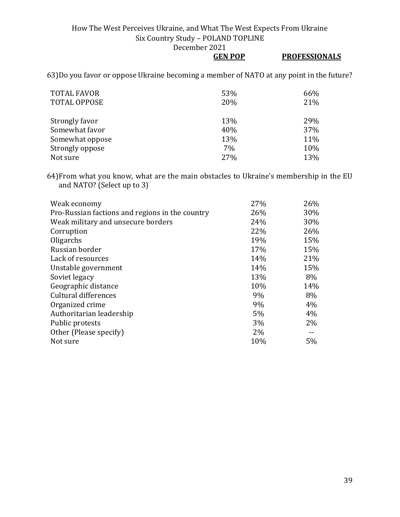December 2021

**GEN POP PROFESSIONALS**

63)Do you favor or oppose Ukraine becoming a member of NATO at any point in the future?

| <b>TOTAL FAVOR</b><br><b>TOTAL OPPOSE</b> | 53%<br>20% | 66%<br>21% |
|-------------------------------------------|------------|------------|
| Strongly favor                            | 13%        | 29%        |
| Somewhat favor                            | 40%        | 37%        |
| Somewhat oppose                           | 13%        | 11%        |
| Strongly oppose                           | 7%         | 10%        |
| Not sure                                  | 27%        | 13%        |

64)From what you know, what are the main obstacles to Ukraine's membership in the EU and NATO? (Select up to 3)

| Weak economy                                    | 27%   | 26% |
|-------------------------------------------------|-------|-----|
| Pro-Russian factions and regions in the country | 26%   | 30% |
| Weak military and unsecure borders              | 24%   | 30% |
| Corruption                                      | 22%   | 26% |
| Oligarchs                                       | 19%   | 15% |
| Russian border                                  | 17%   | 15% |
| Lack of resources                               | 14%   | 21% |
| Unstable government                             | 14%   | 15% |
| Soviet legacy                                   | 13%   | 8%  |
| Geographic distance                             | 10%   | 14% |
| Cultural differences                            | 9%    | 8%  |
| Organized crime                                 | 9%    | 4%  |
| Authoritarian leadership                        | 5%    | 4%  |
| Public protests                                 | 3%    | 2%  |
| Other (Please specify)                          | $2\%$ |     |
| Not sure                                        | 10%   | 5%  |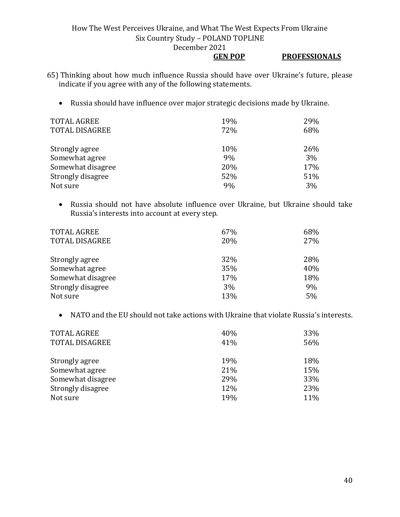### **GEN POP PROFESSIONALS**

- 65) Thinking about how much influence Russia should have over Ukraine's future, please indicate if you agree with any of the following statements.
	- Russia should have influence over major strategic decisions made by Ukraine.

| <b>TOTAL AGREE</b><br><b>TOTAL DISAGREE</b> | 19%<br>72% | 29%<br>68% |
|---------------------------------------------|------------|------------|
| Strongly agree                              | 10%        | 26%        |
| Somewhat agree                              | 9%         | 3%         |
| Somewhat disagree                           | 20%        | 17%        |
| Strongly disagree                           | 52%        | 51%        |
| Not sure                                    | 9%         | 3%         |

• Russia should not have absolute influence over Ukraine, but Ukraine should take Russia's interests into account at every step.

| <b>TOTAL AGREE</b><br><b>TOTAL DISAGREE</b> | 67%<br>20% | 68%<br>27% |
|---------------------------------------------|------------|------------|
| Strongly agree                              | 32%        | 28%        |
| Somewhat agree                              | 35%        | 40%        |
| Somewhat disagree                           | 17%        | 18%        |
| Strongly disagree                           | 3%         | 9%         |
| Not sure                                    | 13%        | 5%         |

• NATO and the EU should not take actions with Ukraine that violate Russia's interests.

| <b>TOTAL AGREE</b>    | 40% | 33% |
|-----------------------|-----|-----|
| <b>TOTAL DISAGREE</b> | 41% | 56% |
|                       |     |     |
| Strongly agree        | 19% | 18% |
| Somewhat agree        | 21% | 15% |
| Somewhat disagree     | 29% | 33% |
| Strongly disagree     | 12% | 23% |
| Not sure              | 19% | 11% |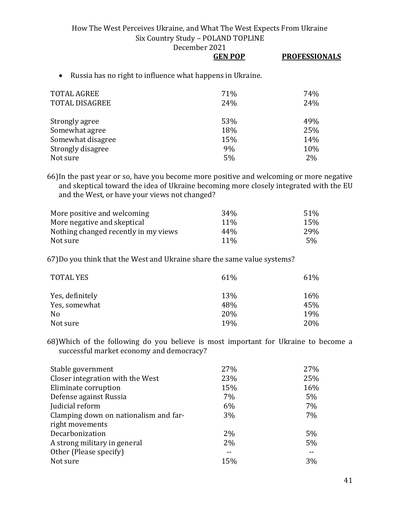December 2021

|                                                           | <b>GEN POP</b> | <b>PROFESSIONALS</b> |
|-----------------------------------------------------------|----------------|----------------------|
| Russia has no right to influence what happens in Ukraine. |                |                      |
| TOTAL AGREE                                               | <b>71%</b>     | 74%                  |
| TOTAL DISAGREE                                            | 24%            | 24%                  |

| Strongly agree    | 53% | 49% |
|-------------------|-----|-----|
| Somewhat agree    | 18% | 25% |
| Somewhat disagree | 15% | 14% |
| Strongly disagree | 9%  | 10% |
| Not sure          | 5%  | 2%  |

66)In the past year or so, have you become more positive and welcoming or more negative and skeptical toward the idea of Ukraine becoming more closely integrated with the EU and the West, or have your views not changed?

| More positive and welcoming          | 34 <sub>%</sub> | 51% |
|--------------------------------------|-----------------|-----|
| More negative and skeptical          | 11 <sup>%</sup> | 15% |
| Nothing changed recently in my views | 44%             | 29% |
| Not sure                             | $11\%$          | 5%  |

67)Do you think that the West and Ukraine share the same value systems?

| <b>TOTAL YES</b> | 61%        | 61% |
|------------------|------------|-----|
| Yes, definitely  | 13%        | 16% |
| Yes, somewhat    | 48%        | 45% |
| N <sub>o</sub>   | 20%        | 19% |
| Not sure         | <b>19%</b> | 20% |

68)Which of the following do you believe is most important for Ukraine to become a successful market economy and democracy?

| 27%   | 27%   |
|-------|-------|
| 23%   | 25%   |
| 15%   | 16%   |
| 7%    | $5\%$ |
| 6%    | $7\%$ |
| 3%    | $7\%$ |
|       |       |
| $2\%$ | $5\%$ |
| $2\%$ | $5\%$ |
|       |       |
| 15%   | 3%    |
|       |       |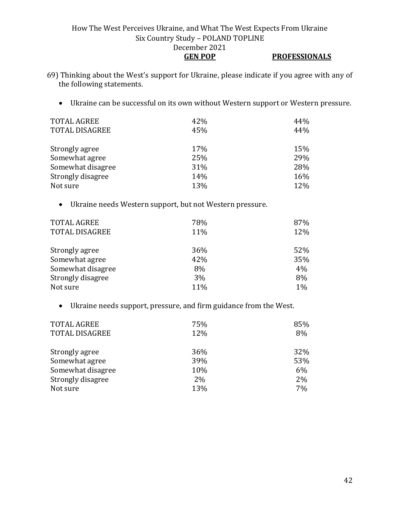#### How The West Perceives Ukraine, and What The West Expects From Ukraine Six Country Study – POLAND TOPLINE December 2021 **GEN POP PROFESSIONALS**

- 69) Thinking about the West's support for Ukraine, please indicate if you agree with any of the following statements.
	- Ukraine can be successful on its own without Western support or Western pressure.

| <b>TOTAL AGREE</b>    | 42% | 44% |
|-----------------------|-----|-----|
| <b>TOTAL DISAGREE</b> | 45% | 44% |
|                       |     |     |
| Strongly agree        | 17% | 15% |
| Somewhat agree        | 25% | 29% |
| Somewhat disagree     | 31% | 28% |
| Strongly disagree     | 14% | 16% |
| Not sure              | 13% | 12% |

• Ukraine needs Western support, but not Western pressure.

| <b>TOTAL AGREE</b><br><b>TOTAL DISAGREE</b> | 78%<br>11% | 87%<br>12% |
|---------------------------------------------|------------|------------|
| Strongly agree                              | 36%        | 52%        |
| Somewhat agree                              | 42%        | 35%        |
| Somewhat disagree                           | 8%         | 4%         |
| Strongly disagree                           | 3%         | 8%         |
| Not sure                                    | 11%        | 1%         |

• Ukraine needs support, pressure, and firm guidance from the West.

| <b>TOTAL AGREE</b><br><b>TOTAL DISAGREE</b> | 75%<br>12% | 85%<br>8% |
|---------------------------------------------|------------|-----------|
| Strongly agree                              | 36%        | 32%       |
| Somewhat agree                              | 39%        | 53%       |
| Somewhat disagree                           | 10%        | $6\%$     |
| Strongly disagree                           | 2%         | 2%        |
| Not sure                                    | 13%        | 7%        |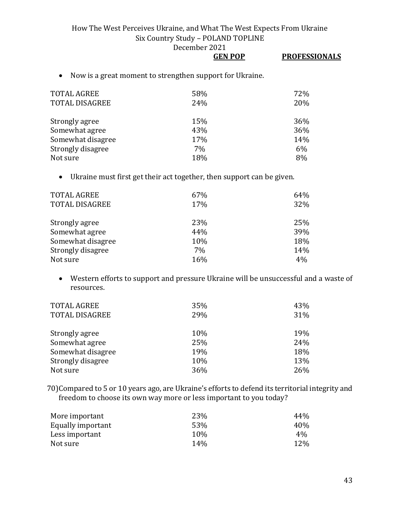December 2021

• Now is a great moment to strengthen support for Ukraine.

| <b>TOTAL AGREE</b><br><b>TOTAL DISAGREE</b> | 58%<br>24% | 72%<br>20% |
|---------------------------------------------|------------|------------|
| Strongly agree                              | 15%        | 36%        |
| Somewhat agree                              | 43%        | 36%        |
| Somewhat disagree                           | 17%        | 14%        |
| Strongly disagree                           | 7%         | 6%         |
| Not sure                                    | 18%        | 8%         |

• Ukraine must first get their act together, then support can be given.

| <b>TOTAL AGREE</b><br><b>TOTAL DISAGREE</b> | 67%<br>17% | 64%<br>32% |
|---------------------------------------------|------------|------------|
|                                             |            |            |
| Strongly agree                              | 23%        | 25%        |
| Somewhat agree                              | 44%        | 39%        |
| Somewhat disagree                           | 10%        | 18%        |
| Strongly disagree                           | 7%         | 14%        |
| Not sure                                    | 16%        | 4%         |

• Western efforts to support and pressure Ukraine will be unsuccessful and a waste of resources.

| <b>TOTAL AGREE</b><br><b>TOTAL DISAGREE</b> | 35%<br>29% | 43%<br>31% |
|---------------------------------------------|------------|------------|
| Strongly agree                              | 10%        | 19%        |
| Somewhat agree                              | 25%        | 24%        |
| Somewhat disagree                           | 19%        | 18%        |
| Strongly disagree                           | 10%        | 13%        |
| Not sure                                    | 36%        | 26%        |

70)Compared to 5 or 10 years ago, are Ukraine's efforts to defend its territorial integrity and freedom to choose its own way more or less important to you today?

| More important    | 23%  | 44%   |
|-------------------|------|-------|
| Equally important | 53%  | 40%   |
| Less important    | 10%  | $4\%$ |
| Not sure          | 14\% | 12%   |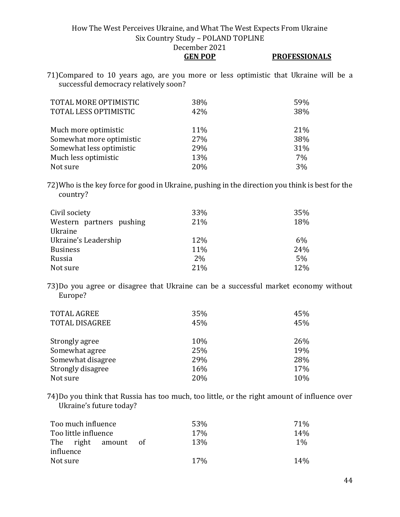**GEN POP PROFESSIONALS**

71)Compared to 10 years ago, are you more or less optimistic that Ukraine will be a successful democracy relatively soon?

| TOTAL MORE OPTIMISTIC<br>TOTAL LESS OPTIMISTIC | 38%<br>42% | 59%<br>38% |
|------------------------------------------------|------------|------------|
| Much more optimistic                           | 11%        | 21%        |
| Somewhat more optimistic                       | 27%        | 38%        |
| Somewhat less optimistic                       | 29%        | 31%        |
| Much less optimistic                           | 13%        | 7%         |
| Not sure                                       | 20%        | 3%         |

72)Who is the key force for good in Ukraine, pushing in the direction you think is best for the country?

| Civil society            | 33% | 35% |
|--------------------------|-----|-----|
| Western partners pushing | 21% | 18% |
| Ukraine                  |     |     |
| Ukraine's Leadership     | 12% | 6%  |
| <b>Business</b>          | 11% | 24% |
| Russia                   | 2%  | 5%  |
| Not sure                 | 21% | 12% |

73)Do you agree or disagree that Ukraine can be a successful market economy without Europe?

| <b>TOTAL AGREE</b><br><b>TOTAL DISAGREE</b> | 35%<br>45% | 45%<br>45% |
|---------------------------------------------|------------|------------|
|                                             |            |            |
| Strongly agree                              | 10%        | 26%        |
| Somewhat agree                              | 25%        | 19%        |
| Somewhat disagree                           | 29%        | 28%        |
| Strongly disagree                           | 16%        | 17%        |
| Not sure                                    | 20%        | 10%        |

74)Do you think that Russia has too much, too little, or the right amount of influence over Ukraine's future today?

| Too much influence   | 53%                     | <b>71%</b> |
|----------------------|-------------------------|------------|
| Too little influence | <b>17%</b>              | 14%        |
| The right amount     | 13 <sub>%</sub><br>ot o | $1\%$      |
| influence            |                         |            |
| Not sure             | <b>17%</b>              | 14%        |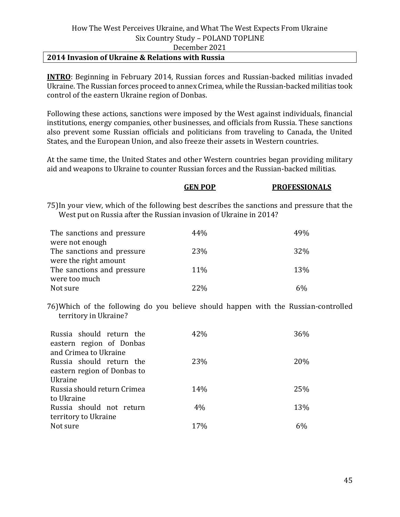#### **2014 Invasion of Ukraine & Relations with Russia**

**INTRO**: Beginning in February 2014, Russian forces and Russian-backed militias invaded Ukraine. The Russian forces proceed to annex Crimea, while the Russian-backed militias took control of the eastern Ukraine region of Donbas.

Following these actions, sanctions were imposed by the West against individuals, financial institutions, energy companies, other businesses, and officials from Russia. These sanctions also prevent some Russian officials and politicians from traveling to Canada, the United States, and the European Union, and also freeze their assets in Western countries.

At the same time, the United States and other Western countries began providing military aid and weapons to Ukraine to counter Russian forces and the Russian-backed militias.

### **GEN POP PROFESSIONALS**

75)In your view, which of the following best describes the sanctions and pressure that the West put on Russia after the Russian invasion of Ukraine in 2014?

| The sanctions and pressure | 44%        | 49% |
|----------------------------|------------|-----|
| were not enough            |            |     |
| The sanctions and pressure | 23%        | 32% |
| were the right amount      |            |     |
| The sanctions and pressure | 11%        | 13% |
| were too much              |            |     |
| Not sure                   | <b>22%</b> |     |

76)Which of the following do you believe should happen with the Russian-controlled territory in Ukraine?

| Russia should return the<br>eastern region of Donbas | 42% | 36% |
|------------------------------------------------------|-----|-----|
| and Crimea to Ukraine                                |     |     |
| Russia should return the                             | 23% | 20% |
| eastern region of Donbas to                          |     |     |
| Ukraine                                              |     |     |
| Russia should return Crimea                          | 14% | 25% |
| to Ukraine                                           |     |     |
| Russia should not return                             | 4%  | 13% |
| territory to Ukraine                                 |     |     |
| Not sure                                             | 17% | 6%  |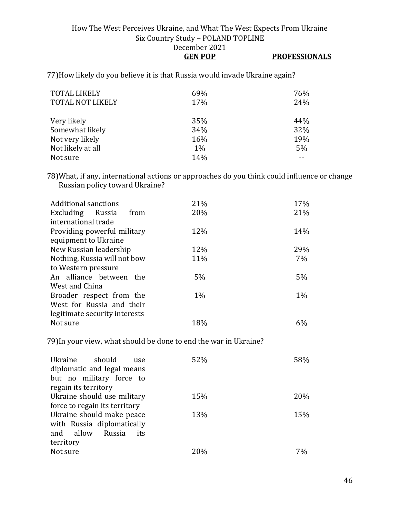### How The West Perceives Ukraine, and What The West Expects From Ukraine Six Country Study – POLAND TOPLINE December 2021 **GEN POP PROFESSIONALS**

77)How likely do you believe it is that Russia would invade Ukraine again?

| <b>TOTAL LIKELY</b><br><b>TOTAL NOT LIKELY</b> | 69%<br>17% | 76%<br>24% |
|------------------------------------------------|------------|------------|
| Very likely                                    | 35%        | 44%        |
| Somewhat likely                                | 34%        | 32%        |
| Not very likely                                | 16%        | 19%        |
| Not likely at all                              | $1\%$      | $5\%$      |
| Not sure                                       | 14%        |            |

78)What, if any, international actions or approaches do you think could influence or change Russian policy toward Ukraine?

|       | 17%               |
|-------|-------------------|
|       | 21%               |
|       |                   |
|       |                   |
|       | 14%               |
|       |                   |
| 12%   | 29%               |
| 11%   | 7%                |
|       |                   |
| $5\%$ | 5%                |
|       |                   |
| $1\%$ | $1\%$             |
|       |                   |
|       |                   |
| 18%   | 6%                |
|       | 21%<br>20%<br>12% |

79)In your view, what should be done to end the war in Ukraine?

| Ukraine should<br>use<br>diplomatic and legal means<br>but no military force to<br>regain its territory | 52% | 58% |
|---------------------------------------------------------------------------------------------------------|-----|-----|
| Ukraine should use military                                                                             | 15% | 20% |
| force to regain its territory                                                                           |     |     |
| Ukraine should make peace<br>with Russia diplomatically<br>and allow<br>Russia<br>its                   | 13% | 15% |
| territory<br>Not sure                                                                                   | 20% | 7%  |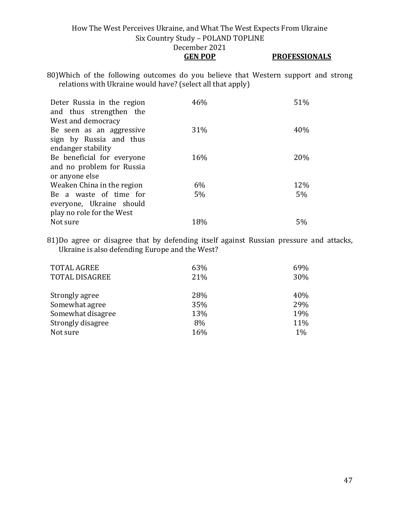### How The West Perceives Ukraine, and What The West Expects From Ukraine Six Country Study – POLAND TOPLINE December 2021 **GEN POP PROFESSIONALS**

80)Which of the following outcomes do you believe that Western support and strong relations with Ukraine would have? (select all that apply)

| Deter Russia in the region<br>and thus strengthen the<br>West and democracy | 46% | 51% |
|-----------------------------------------------------------------------------|-----|-----|
| Be seen as an aggressive                                                    | 31% | 40% |
| sign by Russia and thus                                                     |     |     |
| endanger stability                                                          |     |     |
| Be beneficial for everyone                                                  | 16% | 20% |
| and no problem for Russia                                                   |     |     |
| or anyone else                                                              |     |     |
| Weaken China in the region                                                  | 6%  | 12% |
| Be a waste of time for                                                      | 5%  | 5%  |
| everyone, Ukraine should                                                    |     |     |
| play no role for the West                                                   |     |     |
| Not sure                                                                    | 18% | 5%  |

81)Do agree or disagree that by defending itself against Russian pressure and attacks, Ukraine is also defending Europe and the West?

| <b>TOTAL AGREE</b>    | 63% | 69% |
|-----------------------|-----|-----|
| <b>TOTAL DISAGREE</b> | 21% | 30% |
|                       |     |     |
| Strongly agree        | 28% | 40% |
| Somewhat agree        | 35% | 29% |
| Somewhat disagree     | 13% | 19% |
| Strongly disagree     | 8%  | 11% |
| Not sure              | 16% | 1%  |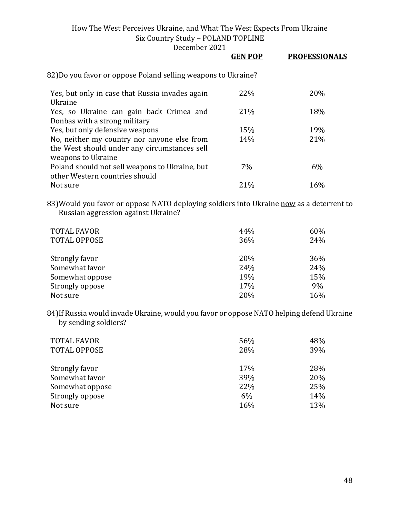December 2021

|                                                                                                                   | <b>GEN POP</b> | <b>PROFESSIONALS</b> |
|-------------------------------------------------------------------------------------------------------------------|----------------|----------------------|
| 82)Do you favor or oppose Poland selling weapons to Ukraine?                                                      |                |                      |
| Yes, but only in case that Russia invades again<br>Ukraine                                                        | 22%            | 20%                  |
| Yes, so Ukraine can gain back Crimea and<br>Donbas with a strong military                                         | 21%            | 18%                  |
| Yes, but only defensive weapons                                                                                   | 15%            | 19%                  |
| No, neither my country nor anyone else from<br>the West should under any circumstances sell<br>weapons to Ukraine | 14%            | 21%                  |
| Poland should not sell weapons to Ukraine, but<br>other Western countries should                                  | 7%             | 6%                   |
| Not sure                                                                                                          | 21%            | 16%                  |

83) Would you favor or oppose NATO deploying soldiers into Ukraine now as a deterrent to Russian aggression against Ukraine?

| <b>TOTAL FAVOR</b><br><b>TOTAL OPPOSE</b> | 44%<br>36% | 60%<br>24% |
|-------------------------------------------|------------|------------|
| Strongly favor                            | 20%        | 36%        |
| Somewhat favor                            | 24%        | 24%        |
| Somewhat oppose                           | 19%        | 15%        |
| Strongly oppose                           | 17%        | 9%         |
| Not sure                                  | 20%        | 16%        |

84)If Russia would invade Ukraine, would you favor or oppose NATO helping defend Ukraine by sending soldiers?

| <b>TOTAL FAVOR</b><br><b>TOTAL OPPOSE</b> | 56%<br>28% | 48%<br>39% |
|-------------------------------------------|------------|------------|
| Strongly favor                            | 17%        | 28%        |
| Somewhat favor                            | 39%        | 20%        |
| Somewhat oppose                           | 22%        | 25%        |
| Strongly oppose                           | 6%         | 14%        |
| Not sure                                  | 16%        | 13%        |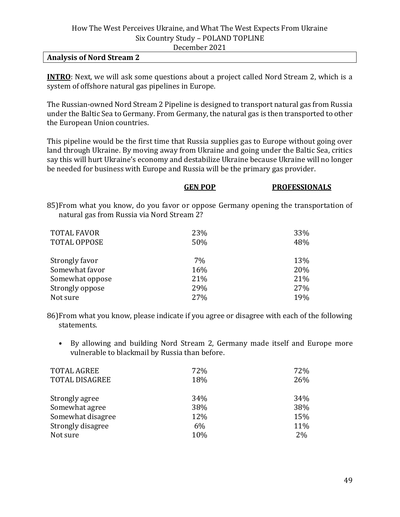#### **Analysis of Nord Stream 2**

**INTRO**: Next, we will ask some questions about a project called Nord Stream 2, which is a system of offshore natural gas pipelines in Europe.

The Russian-owned Nord Stream 2 Pipeline is designed to transport natural gas from Russia under the Baltic Sea to Germany. From Germany, the natural gas is then transported to other the European Union countries.

This pipeline would be the first time that Russia supplies gas to Europe without going over land through Ukraine. By moving away from Ukraine and going under the Baltic Sea, critics say this will hurt Ukraine's economy and destabilize Ukraine because Ukraine will no longer be needed for business with Europe and Russia will be the primary gas provider.

|                                            | <b>GEN POP</b> | <b>PROFESSIONALS</b>                                                                 |
|--------------------------------------------|----------------|--------------------------------------------------------------------------------------|
| natural gas from Russia via Nord Stream 2? |                | 85) From what you know, do you favor or oppose Germany opening the transportation of |
| <b>TOTAL FAVOR</b>                         | 23%            | 33%                                                                                  |
| <b>TOTAL OPPOSE</b>                        | 50%            | 48%                                                                                  |
| Strongly favor                             | 7%             | 13%                                                                                  |
| Somewhat favor                             | 16%            | 20%                                                                                  |
| Somewhat oppose                            | 21%            | 21%                                                                                  |
| Strongly oppose                            | 29%            | 27%                                                                                  |
| Not sure                                   | 27%            | 19%                                                                                  |

86)From what you know, please indicate if you agree or disagree with each of the following statements.

• By allowing and building Nord Stream 2, Germany made itself and Europe more vulnerable to blackmail by Russia than before.

| <b>TOTAL AGREE</b>    | 72% | 72% |
|-----------------------|-----|-----|
| <b>TOTAL DISAGREE</b> | 18% | 26% |
| Strongly agree        | 34% | 34% |
| Somewhat agree        | 38% | 38% |
| Somewhat disagree     | 12% | 15% |
| Strongly disagree     | 6%  | 11% |
| Not sure              | 10% | 2%  |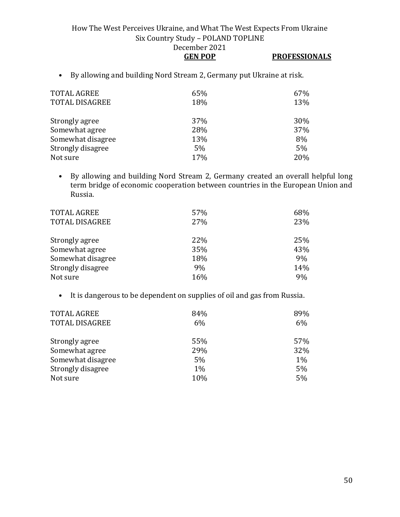- **GEN POP PROFESSIONALS**
- By allowing and building Nord Stream 2, Germany put Ukraine at risk.

| 65%<br>18% | 67%<br>13% |
|------------|------------|
| 37%        | 30%        |
| 28%        | 37%        |
| 13%        | 8%         |
| 5%         | $5\%$      |
| 17%        | 20%        |
|            |            |

• By allowing and building Nord Stream 2, Germany created an overall helpful long term bridge of economic cooperation between countries in the European Union and Russia.

| 57% | 68% |
|-----|-----|
| 27% | 23% |
|     |     |
|     | 25% |
| 35% | 43% |
| 18% | 9%  |
| 9%  | 14% |
| 16% | 9%  |
|     | 22% |

• It is dangerous to be dependent on supplies of oil and gas from Russia.

| <b>TOTAL AGREE</b>    | 84%   | 89%   |
|-----------------------|-------|-------|
| <b>TOTAL DISAGREE</b> | 6%    | 6%    |
|                       |       |       |
| Strongly agree        | 55%   | 57%   |
| Somewhat agree        | 29%   | 32%   |
| Somewhat disagree     | 5%    | $1\%$ |
| Strongly disagree     | $1\%$ | 5%    |
| Not sure              | 10%   | 5%    |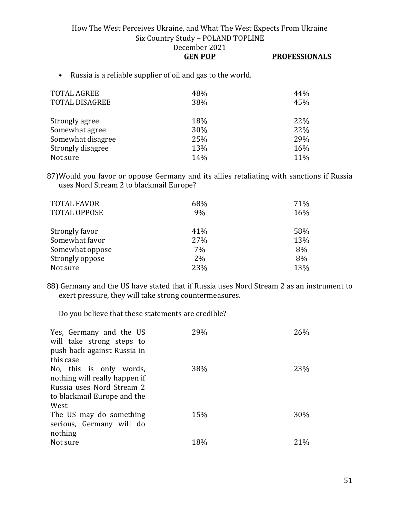| <b>GEN POP</b> | <b>PROFESSIONALS</b> |
|----------------|----------------------|
|----------------|----------------------|

• Russia is a reliable supplier of oil and gas to the world.

| <b>TOTAL AGREE</b><br><b>TOTAL DISAGREE</b> | 48%<br>38% | 44%<br>45% |
|---------------------------------------------|------------|------------|
| Strongly agree                              | 18%        | 22%        |
| Somewhat agree                              | 30%        | 22%        |
| Somewhat disagree                           | 25%        | 29%        |
| Strongly disagree                           | 13%        | 16%        |
| Not sure                                    | 14%        | 11%        |

87)Would you favor or oppose Germany and its allies retaliating with sanctions if Russia uses Nord Stream 2 to blackmail Europe?

| <b>TOTAL FAVOR</b>  | 68% | 71% |
|---------------------|-----|-----|
| <b>TOTAL OPPOSE</b> | 9%  | 16% |
|                     |     |     |
| Strongly favor      | 41% | 58% |
| Somewhat favor      | 27% | 13% |
| Somewhat oppose     | 7%  | 8%  |
| Strongly oppose     | 2%  | 8%  |
| Not sure            | 23% | 13% |

88) Germany and the US have stated that if Russia uses Nord Stream 2 as an instrument to exert pressure, they will take strong countermeasures.

Do you believe that these statements are credible?

| Yes, Germany and the US<br>will take strong steps to | 29% | 26%             |
|------------------------------------------------------|-----|-----------------|
| push back against Russia in<br>this case             |     |                 |
|                                                      |     |                 |
| No, this is only words,                              | 38% | <b>23%</b>      |
| nothing will really happen if                        |     |                 |
| Russia uses Nord Stream 2                            |     |                 |
| to blackmail Europe and the                          |     |                 |
| West                                                 |     |                 |
| The US may do something                              | 15% | 30%             |
| serious, Germany will do                             |     |                 |
| nothing                                              |     |                 |
| Not sure                                             | 18% | 21 <sup>%</sup> |
|                                                      |     |                 |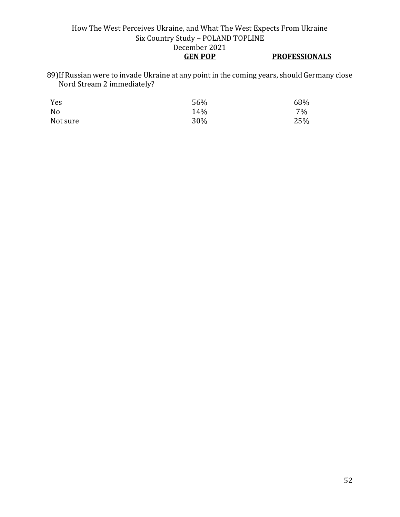89)If Russian were to invade Ukraine at any point in the coming years, should Germany close Nord Stream 2 immediately?

| Yes      | 56% | 68%   |
|----------|-----|-------|
| No       | 14% | $7\%$ |
| Not sure | 30% | 25%   |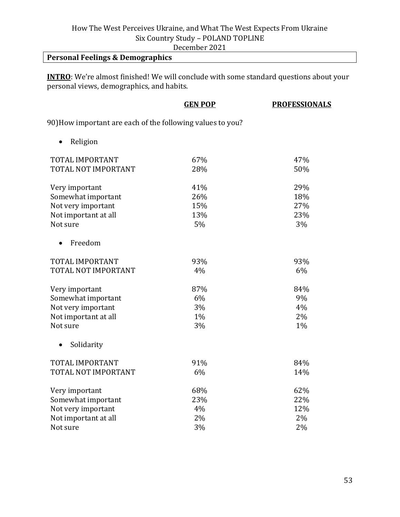December 2021

## **Personal Feelings & Demographics**

**INTRO**: We're almost finished! We will conclude with some standard questions about your personal views, demographics, and habits.

|                                                            | <b>GEN POP</b> | <b>PROFESSIONALS</b> |
|------------------------------------------------------------|----------------|----------------------|
| 90) How important are each of the following values to you? |                |                      |
| Religion                                                   |                |                      |
| TOTAL IMPORTANT                                            | 67%            | 47%                  |
| TOTAL NOT IMPORTANT                                        | 28%            | 50%                  |
| Very important                                             | 41%            | 29%                  |
| Somewhat important                                         | 26%            | 18%                  |
| Not very important                                         | 15%            | 27%                  |
| Not important at all                                       | 13%            | 23%                  |
| Not sure                                                   | 5%             | 3%                   |
| Freedom<br>$\bullet$                                       |                |                      |
| TOTAL IMPORTANT                                            | 93%            | 93%                  |
| TOTAL NOT IMPORTANT                                        | 4%             | 6%                   |
| Very important                                             | 87%            | 84%                  |
| Somewhat important                                         | 6%             | 9%                   |
| Not very important                                         | 3%             | 4%                   |
| Not important at all                                       | $1\%$          | 2%                   |
| Not sure                                                   | 3%             | 1%                   |
| Solidarity<br>$\bullet$                                    |                |                      |
| TOTAL IMPORTANT                                            | 91%            | 84%                  |
| TOTAL NOT IMPORTANT                                        | 6%             | 14%                  |
| Very important                                             | 68%            | 62%                  |
| Somewhat important                                         | 23%            | 22%                  |
| Not very important                                         | 4%             | 12%                  |
| Not important at all                                       | 2%             | 2%                   |
| Not sure                                                   | 3%             | 2%                   |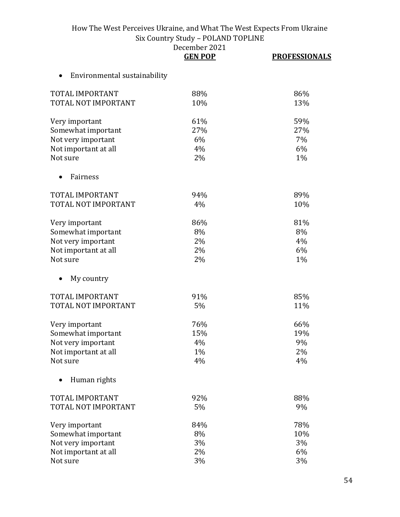|  | December 2021 |
|--|---------------|
|  |               |

|                                           | <b>GEN POP</b> | <b>PROFESSIONALS</b> |
|-------------------------------------------|----------------|----------------------|
| Environmental sustainability<br>$\bullet$ |                |                      |
| <b>TOTAL IMPORTANT</b>                    | 88%            | 86%                  |
| TOTAL NOT IMPORTANT                       | 10%            | 13%                  |
| Very important                            | 61%            | 59%                  |
| Somewhat important                        | 27%            | 27%                  |
| Not very important                        | 6%             | 7%                   |
| Not important at all                      | 4%             | 6%                   |
| Not sure                                  | 2%             | 1%                   |
| Fairness                                  |                |                      |
| TOTAL IMPORTANT                           | 94%            | 89%                  |
| TOTAL NOT IMPORTANT                       | 4%             | 10%                  |
| Very important                            | 86%            | 81%                  |
| Somewhat important                        | 8%             | 8%                   |
| Not very important                        | 2%             | 4%                   |
| Not important at all                      | 2%             | 6%                   |
| Not sure                                  | 2%             | 1%                   |
| My country                                |                |                      |
| TOTAL IMPORTANT                           | 91%            | 85%                  |
| TOTAL NOT IMPORTANT                       | 5%             | 11%                  |
| Very important                            | 76%            | 66%                  |
| Somewhat important                        | 15%            | 19%                  |
| Not very important                        | 4%             | 9%                   |
| Not important at all                      | 1%             | 2%                   |
| Not sure                                  | 4%             | 4%                   |
| Human rights                              |                |                      |
| TOTAL IMPORTANT                           | 92%            | 88%                  |
| TOTAL NOT IMPORTANT                       | 5%             | 9%                   |
| Very important                            | 84%            | 78%                  |
| Somewhat important                        | 8%             | 10%                  |
| Not very important                        | 3%             | 3%                   |
| Not important at all                      | 2%             | 6%                   |
| Not sure                                  | 3%             | 3%                   |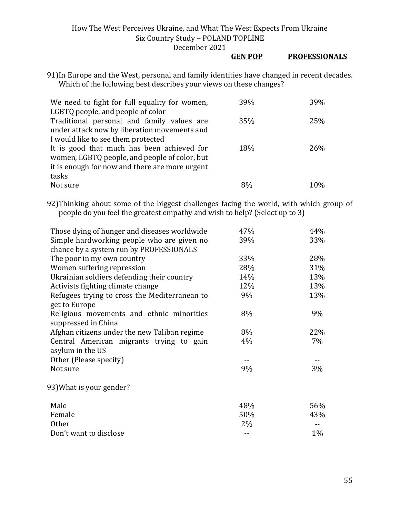#### **GEN POP PROFESSIONALS**

91)In Europe and the West, personal and family identities have changed in recent decades. Which of the following best describes your views on these changes?

| We need to fight for full equality for women,  | 39% | 39% |
|------------------------------------------------|-----|-----|
| LGBTQ people, and people of color              |     |     |
| Traditional personal and family values are     | 35% | 25% |
| under attack now by liberation movements and   |     |     |
| I would like to see them protected             |     |     |
| It is good that much has been achieved for     | 18% | 26% |
| women, LGBTQ people, and people of color, but  |     |     |
| it is enough for now and there are more urgent |     |     |
| tasks                                          |     |     |
| Not sure                                       | 8%  | 10% |

92)Thinking about some of the biggest challenges facing the world, with which group of people do you feel the greatest empathy and wish to help? (Select up to 3)

| Those dying of hunger and diseases worldwide  | 47%   | 44%   |
|-----------------------------------------------|-------|-------|
| Simple hardworking people who are given no    | 39%   | 33%   |
| chance by a system run by PROFESSIONALS       |       |       |
| The poor in my own country                    | 33%   | 28%   |
| Women suffering repression                    | 28%   | 31%   |
| Ukrainian soldiers defending their country    | 14%   | 13%   |
| Activists fighting climate change             | 12%   | 13%   |
| Refugees trying to cross the Mediterranean to | 9%    | 13%   |
| get to Europe                                 |       |       |
| Religious movements and ethnic minorities     | 8%    | 9%    |
| suppressed in China                           |       |       |
| Afghan citizens under the new Taliban regime  | 8%    | 22%   |
| Central American migrants trying to gain      | 4%    | $7\%$ |
| asylum in the US                              |       |       |
| Other (Please specify)                        |       |       |
| Not sure                                      | 9%    | 3%    |
|                                               |       |       |
| 93) What is your gender?                      |       |       |
| Male                                          | 48%   | 56%   |
| Female                                        | 50%   | 43%   |
| <b>Other</b>                                  | $2\%$ |       |
| Don't want to disclose                        |       | $1\%$ |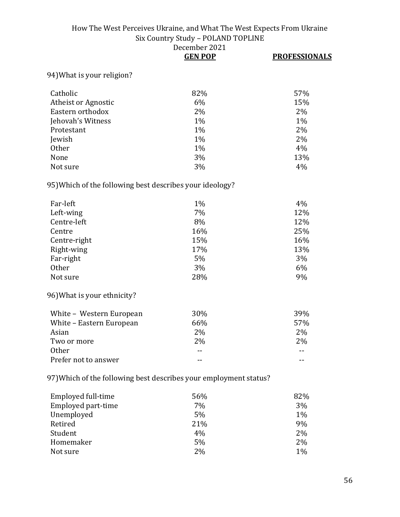|                                                                   | DECENIDEI 2021<br><b>GEN POP</b> | <b>PROFESSIONALS</b> |
|-------------------------------------------------------------------|----------------------------------|----------------------|
| 94) What is your religion?                                        |                                  |                      |
|                                                                   |                                  |                      |
| Catholic                                                          | 82%                              | 57%                  |
| Atheist or Agnostic                                               | 6%                               | 15%                  |
| Eastern orthodox                                                  | 2%                               | 2%                   |
| Jehovah's Witness                                                 | 1%                               | 1%                   |
| Protestant                                                        | 1%                               | 2%                   |
| Jewish                                                            | 1%                               | 2%                   |
| Other                                                             | 1%                               | 4%                   |
| None                                                              | 3%                               | 13%                  |
| Not sure                                                          | 3%                               | 4%                   |
| 95) Which of the following best describes your ideology?          |                                  |                      |
| Far-left                                                          | 1%                               | 4%                   |
| Left-wing                                                         | 7%                               | 12%                  |
| Centre-left                                                       | 8%                               | 12%                  |
| Centre                                                            | 16%                              | 25%                  |
| Centre-right                                                      | 15%                              | 16%                  |
| Right-wing                                                        | 17%                              | 13%                  |
| Far-right                                                         | 5%                               | 3%                   |
| <b>Other</b>                                                      | 3%                               | 6%                   |
| Not sure                                                          | 28%                              | 9%                   |
| 96) What is your ethnicity?                                       |                                  |                      |
| White - Western European                                          | 30%                              | 39%                  |
| White - Eastern European                                          | 66%                              | 57%                  |
| Asian                                                             | 2%                               | 2%                   |
| Two or more                                                       | 2%                               | 2%                   |
| <b>Other</b>                                                      | $-$                              |                      |
| Prefer not to answer                                              | $- -$                            | $-1$                 |
| 97) Which of the following best describes your employment status? |                                  |                      |

Employed full-time 56% 56% 82% Employed part-time 7% 3% Unemployed 5% 1% 1%<br>Retired 21% 9% 9%  $Retired$  and  $21\%$  and  $21\%$  $Student$  and  $4\%$  and  $4\%$  and  $2\%$ Homemaker 5% 2% Not sure 2% 2%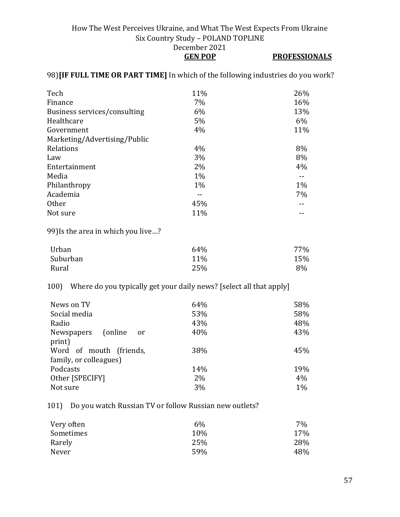### How The West Perceives Ukraine, and What The West Expects From Ukraine Six Country Study – POLAND TOPLINE December 2021 **GEN POP PROFESSIONALS**

### 98)**[IF FULL TIME OR PART TIME]** In which of the following industries do you work?

|       | 26%   |
|-------|-------|
| 7%    | 16%   |
| 6%    | 13%   |
| $5\%$ | 6%    |
| 4%    | 11%   |
|       |       |
| 4%    | 8%    |
| 3%    | 8%    |
| 2%    | 4%    |
| $1\%$ |       |
| $1\%$ | $1\%$ |
|       | 7%    |
| 45%   |       |
| 11%   |       |
|       | 11%   |

99)Is the area in which you live…?

| Urban    | 64% | 77% |
|----------|-----|-----|
| Suburban | 11% | 15% |
| Rural    | 25% | 8%  |

100) Where do you typically get your daily news? [select all that apply]

| News on TV<br>Social media<br>Radio<br>Newspapers (online<br><sub>or</sub> | 64%<br>53%<br>43%<br>40% | 58%<br>58%<br>48%<br>43% |
|----------------------------------------------------------------------------|--------------------------|--------------------------|
| print)<br>Word of mouth (friends,<br>family, or colleagues)                | 38%                      | 45%                      |
| Podcasts<br>Other [SPECIFY]<br>Not sure                                    | 14%<br>$2\%$<br>3%       | 19%<br>4%<br>1%          |

101) Do you watch Russian TV or follow Russian new outlets?

| $6\%$ | 7%  |
|-------|-----|
| 10%   | 17% |
| 25%   | 28% |
| 59%   | 48% |
|       |     |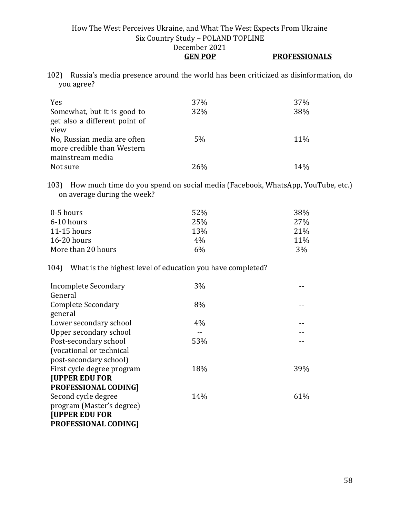### **GEN POP PROFESSIONALS**

102) Russia's media presence around the world has been criticized as disinformation, do you agree?

| Yes<br>Somewhat, but it is good to<br>get also a different point of | 37%<br>32% | 37%<br>38% |
|---------------------------------------------------------------------|------------|------------|
| view<br>No, Russian media are often<br>more credible than Western   | 5%         | 11%        |
| mainstream media<br>Not sure                                        | 26%        | 14%        |

103) How much time do you spend on social media (Facebook, WhatsApp, YouTube, etc.) on average during the week?

| 0-5 hours          | 52%        | 38%        |
|--------------------|------------|------------|
| 6-10 hours         | 25%        | 27%        |
| $11-15$ hours      | <b>13%</b> | 21\%       |
| $16-20$ hours      | $4\%$      | <b>11%</b> |
| More than 20 hours | 6%         | 3%         |

### 104) What is the highest level of education you have completed?

| 3%  |     |
|-----|-----|
|     |     |
| 8%  |     |
|     |     |
| 4%  |     |
|     |     |
| 53% |     |
|     |     |
|     |     |
| 18% | 39% |
|     |     |
|     |     |
| 14% | 61% |
|     |     |
|     |     |
|     |     |
|     |     |